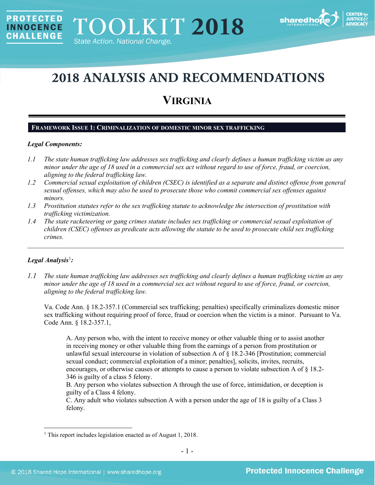

# **2018 ANALYSIS AND RECOMMENDATIONS**

# **VIRGINIA**

# **FRAMEWORK ISSUE 1: CRIMINALIZATION OF DOMESTIC MINOR SEX TRAFFICKING**

# *Legal Components:*

**PROTECTED** 

**INNOCENCE CHALLENGE** 

- *1.1 The state human trafficking law addresses sex trafficking and clearly defines a human trafficking victim as any minor under the age of 18 used in a commercial sex act without regard to use of force, fraud, or coercion, aligning to the federal trafficking law.*
- *1.2 Commercial sexual exploitation of children (CSEC) is identified as a separate and distinct offense from general sexual offenses, which may also be used to prosecute those who commit commercial sex offenses against minors.*
- *1.3 Prostitution statutes refer to the sex trafficking statute to acknowledge the intersection of prostitution with trafficking victimization.*
- *1.4 The state racketeering or gang crimes statute includes sex trafficking or commercial sexual exploitation of children (CSEC) offenses as predicate acts allowing the statute to be used to prosecute child sex trafficking crimes.*

\_\_\_\_\_\_\_\_\_\_\_\_\_\_\_\_\_\_\_\_\_\_\_\_\_\_\_\_\_\_\_\_\_\_\_\_\_\_\_\_\_\_\_\_\_\_\_\_\_\_\_\_\_\_\_\_\_\_\_\_\_\_\_\_\_\_\_\_\_\_\_\_\_\_\_\_\_\_\_\_\_\_\_\_\_\_\_\_\_\_\_\_\_\_

# *Legal Analysis*[1](#page-0-0) *:*

*1.1 The state human trafficking law addresses sex trafficking and clearly defines a human trafficking victim as any minor under the age of 18 used in a commercial sex act without regard to use of force, fraud, or coercion, aligning to the federal trafficking law.*

Va. Code Ann. § 18.2-357.1 (Commercial sex trafficking; penalties) specifically criminalizes domestic minor sex trafficking without requiring proof of force, fraud or coercion when the victim is a minor. Pursuant to Va. Code Ann. § 18.2-357.1,

A. Any person who, with the intent to receive money or other valuable thing or to assist another in receiving money or other valuable thing from the earnings of a person from prostitution or unlawful sexual intercourse in violation of subsection A of § 18.2-346 [Prostitution; commercial sexual conduct; commercial exploitation of a minor; penalties], solicits, invites, recruits, encourages, or otherwise causes or attempts to cause a person to violate subsection A of § 18.2- 346 is guilty of a class 5 felony.

B. Any person who violates subsection A through the use of force, intimidation, or deception is guilty of a Class 4 felony.

C. Any adult who violates subsection A with a person under the age of 18 is guilty of a Class 3 felony.

<span id="page-0-0"></span><sup>&</sup>lt;sup>1</sup> This report includes legislation enacted as of August 1, 2018.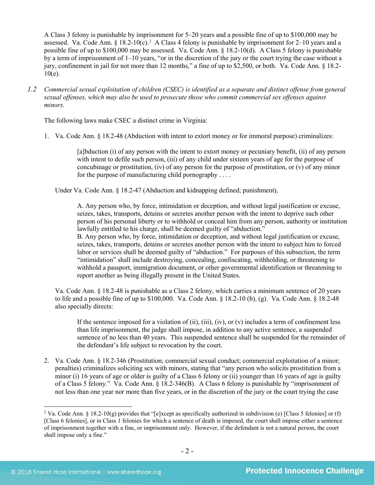<span id="page-1-1"></span>A Class 3 felony is punishable by imprisonment for 5–20 years and a possible fine of up to \$100,000 may be assessed. Va. Code Ann. § 18.[2](#page-1-0)-10(c).<sup>2</sup> A Class 4 felony is punishable by imprisonment for 2–10 years and a possible fine of up to \$100,000 may be assessed. Va. Code Ann. § 18.2-10(d). A Class 5 felony is punishable by a term of imprisonment of 1–10 years, "or in the discretion of the jury or the court trying the case without a jury, confinement in jail for not more than 12 months," a fine of up to \$2,500, or both. Va. Code Ann. § 18.2-  $10(e)$ .

*1.2 Commercial sexual exploitation of children (CSEC) is identified as a separate and distinct offense from general sexual offenses, which may also be used to prosecute those who commit commercial sex offenses against minors.*

The following laws make CSEC a distinct crime in Virginia:

1. Va. Code Ann. § 18.2-48 (Abduction with intent to extort money or for immoral purpose) criminalizes:

[a]bduction (i) of any person with the intent to extort money or pecuniary benefit, (ii) of any person with intent to defile such person, (iii) of any child under sixteen years of age for the purpose of concubinage or prostitution, (iv) of any person for the purpose of prostitution, or (v) of any minor for the purpose of manufacturing child pornography . . . .

Under Va. Code Ann. § 18.2-47 (Abduction and kidnapping defined; punishment),

A. Any person who, by force, intimidation or deception, and without legal justification or excuse, seizes, takes, transports, detains or secretes another person with the intent to deprive such other person of his personal liberty or to withhold or conceal him from any person, authority or institution lawfully entitled to his charge, shall be deemed guilty of "abduction."

B. Any person who, by force, intimidation or deception, and without legal justification or excuse, seizes, takes, transports, detains or secretes another person with the intent to subject him to forced labor or services shall be deemed guilty of "abduction." For purposes of this subsection, the term "intimidation" shall include destroying, concealing, confiscating, withholding, or threatening to withhold a passport, immigration document, or other governmental identification or threatening to report another as being illegally present in the United States.

Va. Code Ann. § 18.2-48 is punishable as a Class 2 felony, which carries a minimum sentence of 20 years to life and a possible fine of up to \$100,000. Va. Code Ann. § 18.2-10 (b), (g). Va. Code Ann. § 18.2-48 also specially directs:

If the sentence imposed for a violation of (ii), (iii), (iv), or (v) includes a term of confinement less than life imprisonment, the judge shall impose, in addition to any active sentence, a suspended sentence of no less than 40 years. This suspended sentence shall be suspended for the remainder of the defendant's life subject to revocation by the court.

2. Va. Code Ann. § 18.2-346 (Prostitution; commercial sexual conduct; commercial exploitation of a minor; penalties) criminalizes soliciting sex with minors, stating that "any person who solicits prostitution from a minor (i) 16 years of age or older is guilty of a Class 6 felony or (ii) younger than 16 years of age is guilty of a Class 5 felony*.*" Va. Code Ann. § 18.2-346(B). A Class 6 felony is punishable by "imprisonment of not less than one year nor more than five years, or in the discretion of the jury or the court trying the case

<span id="page-1-0"></span><sup>&</sup>lt;sup>2</sup> Va. Code Ann. § 18.2-10(g) provides that "[e]xcept as specifically authorized in subdivision (e) [Class 5 felonies] or (f) [Class 6 felonies], or in Class 1 felonies for which a sentence of death is imposed, the court shall impose either a sentence of imprisonment together with a fine, or imprisonment only. However, if the defendant is not a natural person, the court shall impose only a fine."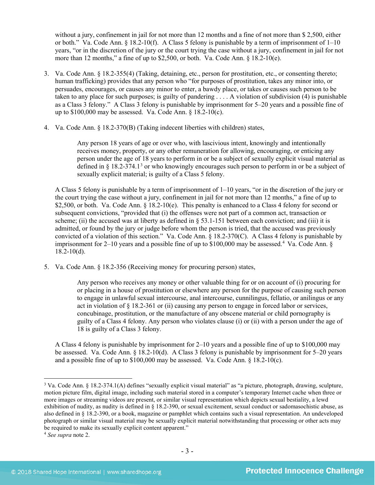without a jury, confinement in jail for not more than 12 months and a fine of not more than \$ 2,500, either or both." Va. Code Ann.  $\S$  18.2-10(f). A Class 5 felony is punishable by a term of imprisonment of 1–10 years, "or in the discretion of the jury or the court trying the case without a jury, confinement in jail for not more than 12 months," a fine of up to \$2,500, or both. Va. Code Ann. § 18.2-10(e).

- 3. Va. Code Ann. § 18.2-355(4) (Taking, detaining, etc., person for prostitution, etc., or consenting thereto; human trafficking) provides that any person who "for purposes of prostitution, takes any minor into, or persuades, encourages, or causes any minor to enter, a bawdy place, or takes or causes such person to be taken to any place for such purposes; is guilty of pandering . . . . A violation of subdivision (4) is punishable as a Class 3 felony." A Class 3 felony is punishable by imprisonment for 5–20 years and a possible fine of up to \$100,000 may be assessed. Va. Code Ann. § 18.2-10(c).
- 4. Va. Code Ann. § 18.2-370(B) (Taking indecent liberties with children) states,

Any person 18 years of age or over who, with lascivious intent, knowingly and intentionally receives money, property, or any other remuneration for allowing, encouraging, or enticing any person under the age of 18 years to perform in or be a subject of sexually explicit visual material as defined in  $\S 18.2-374.1^3$  $\S 18.2-374.1^3$  $\S 18.2-374.1^3$  or who knowingly encourages such person to perform in or be a subject of sexually explicit material; is guilty of a Class 5 felony.

A Class 5 felony is punishable by a term of imprisonment of 1–10 years, "or in the discretion of the jury or the court trying the case without a jury, confinement in jail for not more than 12 months," a fine of up to \$2,500, or both. Va. Code Ann.  $\S$  18.2-10(e). This penalty is enhanced to a Class 4 felony for second or subsequent convictions, "provided that (i) the offenses were not part of a common act, transaction or scheme; (ii) the accused was at liberty as defined in § 53.1-151 between each conviction; and (iii) it is admitted, or found by the jury or judge before whom the person is tried, that the accused was previously convicted of a violation of this section." Va. Code Ann. § 18.2-370(C). A Class 4 felony is punishable by imprisonment for 2–10 years and a possible fine of up to  $$100,000$  may be assessed.<sup>[4](#page-2-1)</sup> Va. Code Ann. §  $18.2 - 10(d)$ .

5. Va. Code Ann. § 18.2-356 (Receiving money for procuring person) states,

Any person who receives any money or other valuable thing for or on account of (i) procuring for or placing in a house of prostitution or elsewhere any person for the purpose of causing such person to engage in unlawful sexual intercourse, anal intercourse, cunnilingus, fellatio, or anilingus or any act in violation of § 18.2-361 or (ii) causing any person to engage in forced labor or services, concubinage, prostitution, or the manufacture of any obscene material or child pornography is guilty of a Class 4 felony. Any person who violates clause (i) or (ii) with a person under the age of 18 is guilty of a Class 3 felony.

A Class 4 felony is punishable by imprisonment for 2–10 years and a possible fine of up to \$100,000 may be assessed. Va. Code Ann. § 18.2-10(d). A Class 3 felony is punishable by imprisonment for 5–20 years and a possible fine of up to \$100,000 may be assessed. Va. Code Ann. § 18.2-10(c).

<span id="page-2-0"></span> <sup>3</sup> Va. Code Ann. § 18.2-374.1(A) defines "sexually explicit visual material" as "a picture, photograph, drawing, sculpture, motion picture film, digital image, including such material stored in a computer's temporary Internet cache when three or more images or streaming videos are present, or similar visual representation which depicts sexual bestiality, a lewd exhibition of nudity, as nudity is defined in § 18.2-390, or sexual excitement, sexual conduct or sadomasochistic abuse, as also defined in § 18.2-390, or a book, magazine or pamphlet which contains such a visual representation. An undeveloped photograph or similar visual material may be sexually explicit material notwithstanding that processing or other acts may be required to make its sexually explicit content apparent."

<span id="page-2-1"></span><sup>4</sup> *See supra* note [2.](#page-1-1)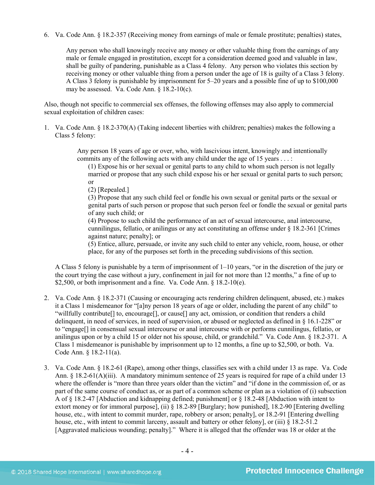6. Va. Code Ann. § 18.2-357 (Receiving money from earnings of male or female prostitute; penalties) states,

Any person who shall knowingly receive any money or other valuable thing from the earnings of any male or female engaged in prostitution, except for a consideration deemed good and valuable in law, shall be guilty of pandering, punishable as a Class 4 felony. Any person who violates this section by receiving money or other valuable thing from a person under the age of 18 is guilty of a Class 3 felony. A Class 3 felony is punishable by imprisonment for 5–20 years and a possible fine of up to \$100,000 may be assessed. Va. Code Ann. § 18.2-10(c).

Also, though not specific to commercial sex offenses, the following offenses may also apply to commercial sexual exploitation of children cases:

1. Va. Code Ann. § 18.2-370(A) (Taking indecent liberties with children; penalties) makes the following a Class 5 felony:

> Any person 18 years of age or over, who, with lascivious intent, knowingly and intentionally commits any of the following acts with any child under the age of 15 years . . . :

(1) Expose his or her sexual or genital parts to any child to whom such person is not legally married or propose that any such child expose his or her sexual or genital parts to such person; or

(2) [Repealed.]

(3) Propose that any such child feel or fondle his own sexual or genital parts or the sexual or genital parts of such person or propose that such person feel or fondle the sexual or genital parts of any such child; or

(4) Propose to such child the performance of an act of sexual intercourse, anal intercourse, cunnilingus, fellatio, or anilingus or any act constituting an offense under  $\S$  18.2-361 [Crimes] against nature; penalty]; or

(5) Entice, allure, persuade, or invite any such child to enter any vehicle, room, house, or other place, for any of the purposes set forth in the preceding subdivisions of this section.

A Class 5 felony is punishable by a term of imprisonment of 1–10 years, "or in the discretion of the jury or the court trying the case without a jury, confinement in jail for not more than 12 months," a fine of up to \$2,500, or both imprisonment and a fine. Va. Code Ann.  $\S$  18.2-10(e).

- 2. Va. Code Ann. § 18.2-371 (Causing or encouraging acts rendering children delinquent, abused, etc.) makes it a Class 1 misdemeanor for "[a]ny person 18 years of age or older, including the parent of any child" to "willfully contribute<sup>[]</sup> to, encourage<sup>[]</sup>, or cause<sup>[]</sup> any act, omission, or condition that renders a child delinquent, in need of services, in need of supervision, or abused or neglected as defined in § 16.1-228" or to "engage[] in consensual sexual intercourse or anal intercourse with or performs cunnilingus, fellatio, or anilingus upon or by a child 15 or older not his spouse, child, or grandchild." Va. Code Ann. § 18.2-371. A Class 1 misdemeanor is punishable by imprisonment up to 12 months, a fine up to \$2,500, or both. Va. Code Ann. § 18.2-11(a).
- 3. Va. Code Ann. § 18.2-61 (Rape), among other things, classifies sex with a child under 13 as rape. Va. Code Ann. § 18.2-61(A)(iii). A mandatory minimum sentence of 25 years is required for rape of a child under 13 where the offender is "more than three years older than the victim" and "if done in the commission of, or as part of the same course of conduct as, or as part of a common scheme or plan as a violation of (i) subsection A of § 18.2-47 [Abduction and kidnapping defined; punishment] or § 18.2-48 [Abduction with intent to extort money or for immoral purpose], (ii) § 18.2-89 [Burglary; how punished], 18.2-90 [Entering dwelling house, etc., with intent to commit murder, rape, robbery or arson; penalty], or 18.2-91 [Entering dwelling house, etc., with intent to commit larceny, assault and battery or other felony], or (iii) § 18.2-51.2 [Aggravated malicious wounding; penalty]." Where it is alleged that the offender was 18 or older at the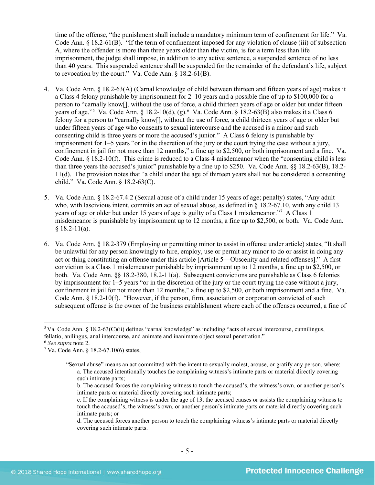time of the offense, "the punishment shall include a mandatory minimum term of confinement for life." Va. Code Ann. § 18.2-61(B). "If the term of confinement imposed for any violation of clause (iii) of subsection A, where the offender is more than three years older than the victim, is for a term less than life imprisonment, the judge shall impose, in addition to any active sentence, a suspended sentence of no less than 40 years. This suspended sentence shall be suspended for the remainder of the defendant's life, subject to revocation by the court." Va. Code Ann. § 18.2-61(B).

- 4. Va. Code Ann. § 18.2-63(A) (Carnal knowledge of child between thirteen and fifteen years of age) makes it a Class 4 felony punishable by imprisonment for 2–10 years and a possible fine of up to \$100,000 for a person to "carnally know[], without the use of force, a child thirteen years of age or older but under fifteen years of age."<sup>[5](#page-4-0)</sup> Va. Code Ann. § 18.2-10(d), (g).<sup>[6](#page-4-1)</sup> Va. Code Ann. § 18.2-63(B) also makes it a Class 6 felony for a person to "carnally know[], without the use of force, a child thirteen years of age or older but under fifteen years of age who consents to sexual intercourse and the accused is a minor and such consenting child is three years or more the accused's junior." A Class 6 felony is punishable by imprisonment for 1–5 years "or in the discretion of the jury or the court trying the case without a jury, confinement in jail for not more than 12 months," a fine up to \$2,500, or both imprisonment and a fine. Va. Code Ann. § 18.2-10(f). This crime is reduced to a Class 4 misdemeanor when the "consenting child is less than three years the accused's junior" punishable by a fine up to \$250. Va. Code Ann. §§ 18.2-63(B), 18.2- 11(d). The provision notes that "a child under the age of thirteen years shall not be considered a consenting child." Va. Code Ann. § 18.2-63(C).
- <span id="page-4-3"></span>5. Va. Code Ann. § 18.2-67.4:2 (Sexual abuse of a child under 15 years of age; penalty) states, "Any adult who, with lascivious intent, commits an act of sexual abuse, as defined in  $\S$  18.2-67.10, with any child 13 years of age or older but under 15 years of age is guilty of a Class 1 misdemeanor."<sup>[7](#page-4-2)</sup> A Class 1 misdemeanor is punishable by imprisonment up to 12 months, a fine up to \$2,500, or both. Va. Code Ann.  $§$  18.2-11(a).
- 6. Va. Code Ann. § 18.2-379 (Employing or permitting minor to assist in offense under article) states, "It shall be unlawful for any person knowingly to hire, employ, use or permit any minor to do or assist in doing any act or thing constituting an offense under this article [Article 5—Obscenity and related offenses]." A first conviction is a Class 1 misdemeanor punishable by imprisonment up to 12 months, a fine up to \$2,500, or both. Va. Code Ann. §§ 18.2-380, 18.2-11(a). Subsequent convictions are punishable as Class 6 felonies by imprisonment for 1–5 years "or in the discretion of the jury or the court trying the case without a jury, confinement in jail for not more than 12 months," a fine up to \$2,500, or both imprisonment and a fine. Va. Code Ann. § 18.2-10(f). "However, if the person, firm, association or corporation convicted of such subsequent offense is the owner of the business establishment where each of the offenses occurred, a fine of

<span id="page-4-0"></span> $5$  Va. Code Ann. § 18.2-63(C)(ii) defines "carnal knowledge" as including "acts of sexual intercourse, cunnilingus, fellatio, anilingus, anal intercourse, and animate and inanimate object sexual penetration." <sup>6</sup> *See supra* note [2.](#page-1-1)

<span id="page-4-2"></span><span id="page-4-1"></span><sup>7</sup> Va. Code Ann. § 18.2-67.10(6) states,

<sup>&</sup>quot;Sexual abuse" means an act committed with the intent to sexually molest, arouse, or gratify any person, where: a. The accused intentionally touches the complaining witness's intimate parts or material directly covering such intimate parts;

b. The accused forces the complaining witness to touch the accused's, the witness's own, or another person's intimate parts or material directly covering such intimate parts;

c. If the complaining witness is under the age of 13, the accused causes or assists the complaining witness to touch the accused's, the witness's own, or another person's intimate parts or material directly covering such intimate parts; or

d. The accused forces another person to touch the complaining witness's intimate parts or material directly covering such intimate parts.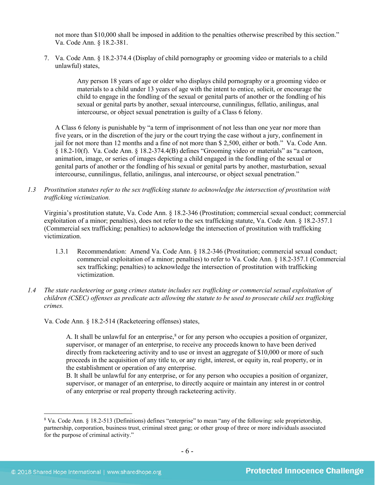not more than \$10,000 shall be imposed in addition to the penalties otherwise prescribed by this section." Va. Code Ann. § 18.2-381.

7. Va. Code Ann. § 18.2-374.4 (Display of child pornography or grooming video or materials to a child unlawful) states,

> Any person 18 years of age or older who displays child pornography or a grooming video or materials to a child under 13 years of age with the intent to entice, solicit, or encourage the child to engage in the fondling of the sexual or genital parts of another or the fondling of his sexual or genital parts by another, sexual intercourse, cunnilingus, fellatio, anilingus, anal intercourse, or object sexual penetration is guilty of a Class 6 felony.

A Class 6 felony is punishable by "a term of imprisonment of not less than one year nor more than five years, or in the discretion of the jury or the court trying the case without a jury, confinement in jail for not more than 12 months and a fine of not more than \$ 2,500, either or both." Va. Code Ann. § 18.2-10(f). Va. Code Ann. § 18.2-374.4(B) defines "Grooming video or materials" as "a cartoon, animation, image, or series of images depicting a child engaged in the fondling of the sexual or genital parts of another or the fondling of his sexual or genital parts by another, masturbation, sexual intercourse, cunnilingus, fellatio, anilingus, anal intercourse, or object sexual penetration."

*1.3 Prostitution statutes refer to the sex trafficking statute to acknowledge the intersection of prostitution with trafficking victimization.* 

Virginia's prostitution statute, Va. Code Ann. § 18.2-346 (Prostitution; commercial sexual conduct; commercial exploitation of a minor; penalties), does not refer to the sex trafficking statute, Va. Code Ann. § 18.2-357.1 (Commercial sex trafficking; penalties) to acknowledge the intersection of prostitution with trafficking victimization.

- 1.3.1 Recommendation: Amend Va. Code Ann. § 18.2-346 (Prostitution; commercial sexual conduct; commercial exploitation of a minor; penalties) to refer to Va. Code Ann. § 18.2-357.1 (Commercial sex trafficking; penalties) to acknowledge the intersection of prostitution with trafficking victimization.
- *1.4 The state racketeering or gang crimes statute includes sex trafficking or commercial sexual exploitation of children (CSEC) offenses as predicate acts allowing the statute to be used to prosecute child sex trafficking crimes.*

Va. Code Ann. § 18.2-514 (Racketeering offenses) states,

A. It shall be unlawful for an enterprise, $8$  or for any person who occupies a position of organizer, supervisor, or manager of an enterprise, to receive any proceeds known to have been derived directly from racketeering activity and to use or invest an aggregate of \$10,000 or more of such proceeds in the acquisition of any title to, or any right, interest, or equity in, real property, or in the establishment or operation of any enterprise.

B. It shall be unlawful for any enterprise, or for any person who occupies a position of organizer, supervisor, or manager of an enterprise, to directly acquire or maintain any interest in or control of any enterprise or real property through racketeering activity.

<span id="page-5-0"></span> <sup>8</sup> Va. Code Ann. § 18.2-513 (Definitions) defines "enterprise" to mean "any of the following: sole proprietorship, partnership, corporation, business trust, criminal street gang; or other group of three or more individuals associated for the purpose of criminal activity."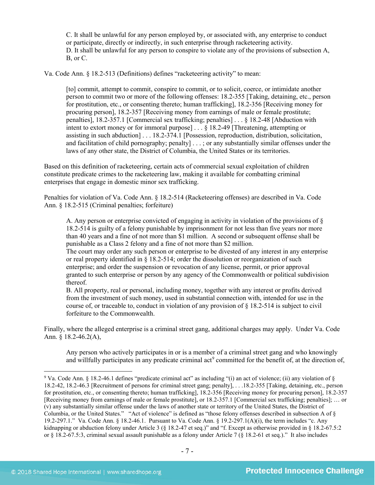C. It shall be unlawful for any person employed by, or associated with, any enterprise to conduct or participate, directly or indirectly, in such enterprise through racketeering activity. D. It shall be unlawful for any person to conspire to violate any of the provisions of subsection A, B, or C.

Va. Code Ann. § 18.2-513 (Definitions) defines "racketeering activity" to mean:

[to] commit, attempt to commit, conspire to commit, or to solicit, coerce, or intimidate another person to commit two or more of the following offenses: 18.2-355 [Taking, detaining, etc., person for prostitution, etc., or consenting thereto; human trafficking], [18.2-356](https://a.next.westlaw.com/Link/Document/FullText?findType=L&pubNum=1000040&cite=VASTS18.2-356&originatingDoc=NE39F68D0341B11DEA7CD81F2617D4421&refType=LQ&originationContext=document&transitionType=DocumentItem&contextData=(sc.Document)) [Receiving money for procuring person], 18.2-357 [Receiving money from earnings of male or female prostitute; penalties], 18.2-357.1 [Commercial sex trafficking; penalties] . . . § 18.2-48 [Abduction with intent to extort money or for immoral purpose] . . . § 18.2-49 [Threatening, attempting or assisting in such abduction] . . . 18.2-374.1 [Possession, reproduction, distribution, solicitation, and facilitation of child pornography; penalty] . . . ; or any substantially similar offenses under the laws of any other state, the District of Columbia, the United States or its territories.

Based on this definition of racketeering, certain acts of commercial sexual exploitation of children constitute predicate crimes to the racketeering law, making it available for combatting criminal enterprises that engage in domestic minor sex trafficking.

Penalties for violation of Va. Code Ann. § 18.2-514 (Racketeering offenses) are described in Va. Code Ann. § 18.2-515 (Criminal penalties; forfeiture)

A. Any person or enterprise convicted of engaging in activity in violation of the provisions of § 18.2-514 is guilty of a felony punishable by imprisonment for not less than five years nor more than 40 years and a fine of not more than \$1 million. A second or subsequent offense shall be punishable as a Class 2 felony and a fine of not more than \$2 million.

The court may order any such person or enterprise to be divested of any interest in any enterprise or real property identified in § 18.2-514; order the dissolution or reorganization of such enterprise; and order the suspension or revocation of any license, permit, or prior approval granted to such enterprise or person by any agency of the Commonwealth or political subdivision thereof.

B. All property, real or personal, including money, together with any interest or profits derived from the investment of such money, used in substantial connection with, intended for use in the course of, or traceable to, conduct in violation of any provision of  $\S$  18.2-514 is subject to civil forfeiture to the Commonwealth.

Finally, where the alleged enterprise is a criminal street gang, additional charges may apply. Under Va. Code Ann. § 18.2-46.2(A),

Any person who actively participates in or is a member of a criminal street gang and who knowingly and willfully participates in any predicate criminal act<sup>[9](#page-6-0)</sup> committed for the benefit of, at the direction of,

<span id="page-6-0"></span> <sup>9</sup> Va. Code Ann. § 18.2-46.1 defines "predicate criminal act" as including "(i) an act of violence; (ii) any violation of § 18.2-42, 18.2-46.3 [Recruitment of persons for criminal street gang; penalty], . . .18.2-355 [Taking, detaining, etc., person for prostitution, etc., or consenting thereto; human trafficking], 18.2-356 [Receiving money for procuring person], 18.2-357 [Receiving money from earnings of male or female prostitute], or 18.2-357.1 [Commercial sex trafficking; penalties]; … or (v) any substantially similar offense under the laws of another state or territory of the United States, the District of Columbia, or the United States." "Act of violence" is defined as "those felony offenses described in subsection A of § 19.2-297.1." Va. Code Ann. § 18.2-46.1. Pursuant to Va. Code Ann. § 19.2-297.1(A)(i), the term includes "c. Any kidnapping or abduction felony under Article 3 (§ 18.2-47 et seq.)" and "f. Except as otherwise provided in § 18.2-67.5:2 or § 18.2-67.5:3, criminal sexual assault punishable as a felony under Article 7 (§ 18.2-61 et seq.)." It also includes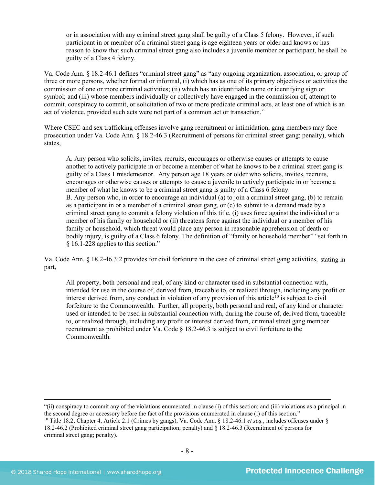or in association with any criminal street gang shall be guilty of a Class 5 felony. However, if such participant in or member of a criminal street gang is age eighteen years or older and knows or has reason to know that such criminal street gang also includes a juvenile member or participant, he shall be guilty of a Class 4 felony.

Va. Code Ann. § 18.2-46.1 defines "criminal street gang" as "any ongoing organization, association, or group of three or more persons, whether formal or informal, (i) which has as one of its primary objectives or activities the commission of one or more criminal activities; (ii) which has an identifiable name or identifying sign or symbol; and (iii) whose members individually or collectively have engaged in the commission of, attempt to commit, conspiracy to commit, or solicitation of two or more predicate criminal acts, at least one of which is an act of violence, provided such acts were not part of a common act or transaction."

Where CSEC and sex trafficking offenses involve gang recruitment or intimidation, gang members may face prosecution under Va. Code Ann. § 18.2-46.3 (Recruitment of persons for criminal street gang; penalty), which states,

A. Any person who solicits, invites, recruits, encourages or otherwise causes or attempts to cause another to actively participate in or become a member of what he knows to be a criminal street gang is guilty of a Class 1 misdemeanor. Any person age 18 years or older who solicits, invites, recruits, encourages or otherwise causes or attempts to cause a juvenile to actively participate in or become a member of what he knows to be a criminal street gang is guilty of a Class 6 felony. B. Any person who, in order to encourage an individual (a) to join a criminal street gang, (b) to remain as a participant in or a member of a criminal street gang, or (c) to submit to a demand made by a criminal street gang to commit a felony violation of this title, (i) uses force against the individual or a member of his family or household or (ii) threatens force against the individual or a member of his family or household, which threat would place any person in reasonable apprehension of death or bodily injury, is guilty of a Class 6 felony. The definition of "family or household member" "set forth in § 16.1-228 applies to this section."

Va. Code Ann. § 18.2-46.3:2 provides for civil forfeiture in the case of criminal street gang activities, stating in part,

All property, both personal and real, of any kind or character used in substantial connection with, intended for use in the course of, derived from, traceable to, or realized through, including any profit or interest derived from, any conduct in violation of any provision of this article<sup>[10](#page-7-0)</sup> is subject to civil forfeiture to the Commonwealth. Further, all property, both personal and real, of any kind or character used or intended to be used in substantial connection with, during the course of, derived from, traceable to, or realized through, including any profit or interest derived from, criminal street gang member recruitment as prohibited under Va. Code § 18.2-46.3 is subject to civil forfeiture to the **Commonwealth** 

<span id="page-7-0"></span>"(ii) conspiracy to commit any of the violations enumerated in clause (i) of this section; and (iii) violations as a principal in the second degree or accessory before the fact of the provisions enumerated in clause (i) of this section." <sup>10</sup> Title 18.2, Chapter 4, Article 2.1 (Crimes by gangs), Va. Code Ann. § 18.2-46.1 *et seq.*, includes offenses under § 18.2-46.2 (Prohibited criminal street gang participation; penalty) and § 18.2-46.3 (Recruitment of persons for criminal street gang; penalty).

 $\overline{a}$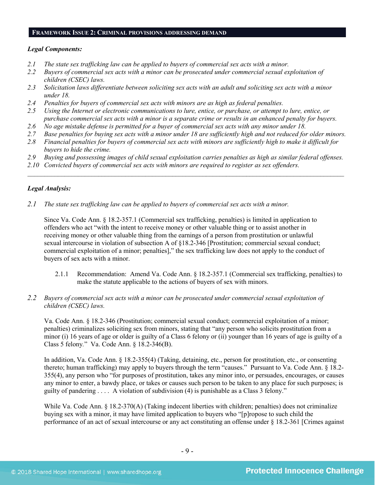#### **FRAMEWORK ISSUE 2: CRIMINAL PROVISIONS ADDRESSING DEMAND**

# *Legal Components:*

- *2.1 The state sex trafficking law can be applied to buyers of commercial sex acts with a minor.*
- *2.2 Buyers of commercial sex acts with a minor can be prosecuted under commercial sexual exploitation of children (CSEC) laws.*
- *2.3 Solicitation laws differentiate between soliciting sex acts with an adult and soliciting sex acts with a minor under 18.*
- *2.4 Penalties for buyers of commercial sex acts with minors are as high as federal penalties.*
- *2.5 Using the Internet or electronic communications to lure, entice, or purchase, or attempt to lure, entice, or purchase commercial sex acts with a minor is a separate crime or results in an enhanced penalty for buyers.*
- *2.6 No age mistake defense is permitted for a buyer of commercial sex acts with any minor under 18.*
- *2.7 Base penalties for buying sex acts with a minor under 18 are sufficiently high and not reduced for older minors.*
- *2.8 Financial penalties for buyers of commercial sex acts with minors are sufficiently high to make it difficult for buyers to hide the crime.*
- *2.9 Buying and possessing images of child sexual exploitation carries penalties as high as similar federal offenses.*

\_\_\_\_\_\_\_\_\_\_\_\_\_\_\_\_\_\_\_\_\_\_\_\_\_\_\_\_\_\_\_\_\_\_\_\_\_\_\_\_\_\_\_\_\_\_\_\_\_\_\_\_\_\_\_\_\_\_\_\_\_\_\_\_\_\_\_\_\_\_\_\_\_\_\_\_\_\_\_\_\_\_\_\_\_\_\_\_\_\_\_\_\_\_

*2.10 Convicted buyers of commercial sex acts with minors are required to register as sex offenders.*

# *Legal Analysis:*

*2.1 The state sex trafficking law can be applied to buyers of commercial sex acts with a minor.*

Since Va. Code Ann. § 18.2-357.1 (Commercial sex trafficking, penalties) is limited in application to offenders who act "with the intent to receive money or other valuable thing or to assist another in receiving money or other valuable thing from the earnings of a person from prostitution or unlawful sexual intercourse in violation of subsection A of §18.2-346 [Prostitution; commercial sexual conduct; commercial exploitation of a minor; penalties]," the sex trafficking law does not apply to the conduct of buyers of sex acts with a minor.

- 2.1.1 Recommendation: Amend Va. Code Ann. § 18.2-357.1 (Commercial sex trafficking, penalties) to make the statute applicable to the actions of buyers of sex with minors.
- *2.2 Buyers of commercial sex acts with a minor can be prosecuted under commercial sexual exploitation of children (CSEC) laws.*

Va. Code Ann. § 18.2-346 (Prostitution; commercial sexual conduct; commercial exploitation of a minor; penalties) criminalizes soliciting sex from minors, stating that "any person who solicits prostitution from a minor (i) 16 years of age or older is guilty of a Class 6 felony or (ii) younger than 16 years of age is guilty of a Class 5 felony*.*" Va. Code Ann. § 18.2-346(B).

In addition, Va. Code Ann. § 18.2-355(4) (Taking, detaining, etc., person for prostitution, etc., or consenting thereto; human trafficking) may apply to buyers through the term "causes." Pursuant to Va. Code Ann. § 18.2- 355(4), any person who "for purposes of prostitution, takes any minor into, or persuades, encourages, or causes any minor to enter, a bawdy place, or takes or causes such person to be taken to any place for such purposes; is guilty of pandering . . . . A violation of subdivision (4) is punishable as a Class 3 felony."

While Va. Code Ann. § 18.2-370(A) (Taking indecent liberties with children; penalties) does not criminalize buying sex with a minor, it may have limited application to buyers who "[p]ropose to such child the performance of an act of sexual intercourse or any act constituting an offense under § 18.2-361 [Crimes against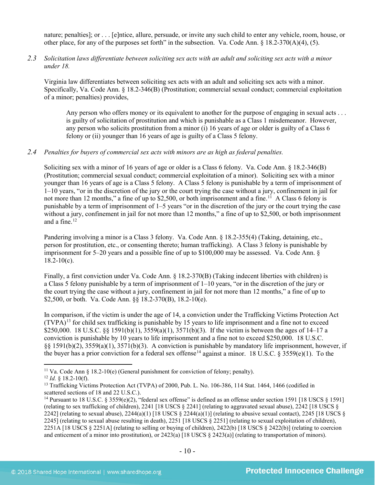nature; penalties]; or . . . [e]ntice, allure, persuade, or invite any such child to enter any vehicle, room, house, or other place, for any of the purposes set forth" in the subsection. Va. Code Ann. § 18.2-370(A)(4), (5).

*2.3 Solicitation laws differentiate between soliciting sex acts with an adult and soliciting sex acts with a minor under 18.*

Virginia law differentiates between soliciting sex acts with an adult and soliciting sex acts with a minor. Specifically, Va. Code Ann. § 18.2-346(B) (Prostitution; commercial sexual conduct; commercial exploitation of a minor; penalties) provides,

Any person who offers money or its equivalent to another for the purpose of engaging in sexual acts . . . is guilty of solicitation of prostitution and which is punishable as a Class 1 misdemeanor. However, any person who solicits prostitution from a minor (i) 16 years of age or older is guilty of a Class 6 felony or (ii) younger than 16 years of age is guilty of a Class 5 felony.

# *2.4 Penalties for buyers of commercial sex acts with minors are as high as federal penalties.*

Soliciting sex with a minor of 16 years of age or older is a Class 6 felony. Va. Code Ann. § 18.2-346(B) (Prostitution; commercial sexual conduct; commercial exploitation of a minor). Soliciting sex with a minor younger than 16 years of age is a Class 5 felony. A Class 5 felony is punishable by a term of imprisonment of 1–10 years, "or in the discretion of the jury or the court trying the case without a jury, confinement in jail for not more than 12 months," a fine of up to \$2,500, or both imprisonment and a fine.<sup>[11](#page-9-0)</sup> A Class 6 felony is punishable by a term of imprisonment of 1–5 years "or in the discretion of the jury or the court trying the case without a jury, confinement in jail for not more than 12 months," a fine of up to \$2,500, or both imprisonment and a fine. $12$ 

Pandering involving a minor is a Class 3 felony. Va. Code Ann. § 18.2-355(4) (Taking, detaining, etc., person for prostitution, etc., or consenting thereto; human trafficking). A Class 3 felony is punishable by imprisonment for 5–20 years and a possible fine of up to \$100,000 may be assessed. Va. Code Ann. §  $18.2 - 10(c)$ .

Finally, a first conviction under Va. Code Ann. § 18.2-370(B) (Taking indecent liberties with children) is a Class 5 felony punishable by a term of imprisonment of 1–10 years, "or in the discretion of the jury or the court trying the case without a jury, confinement in jail for not more than 12 months," a fine of up to \$2,500, or both. Va. Code Ann. §§ 18.2-370(B), 18.2-10(e).

<span id="page-9-4"></span>In comparison, if the victim is under the age of 14, a conviction under the Trafficking Victims Protection Act (TVPA)[13](#page-9-2) for child sex trafficking is punishable by 15 years to life imprisonment and a fine not to exceed \$250,000. 18 U.S.C. §§ 1591(b)(1), 3559(a)(1), 3571(b)(3). If the victim is between the ages of 14–17 a conviction is punishable by 10 years to life imprisonment and a fine not to exceed \$250,000. 18 U.S.C. §§ 1591(b)(2), 3559(a)(1), 3571(b)(3). A conviction is punishable by mandatory life imprisonment, however, if the buyer has a prior conviction for a federal sex offense<sup>[14](#page-9-3)</sup> against a minor. 18 U.S.C. § 3559(e)(1). To the

<span id="page-9-5"></span><span id="page-9-1"></span><span id="page-9-0"></span><sup>&</sup>lt;sup>11</sup> Va. Code Ann § 18.2-10(e) (General punishment for conviction of felony; penalty).  $12$  *Id.*  $\sqrt{8}$  18.2-10(f).

<span id="page-9-2"></span><sup>&</sup>lt;sup>13</sup> Trafficking Victims Protection Act (TVPA) of 2000, Pub. L. No. 106-386, 114 Stat. 1464, 1466 (codified in scattered sections of 18 and 22 U.S.C.).

<span id="page-9-3"></span><sup>14</sup> Pursuant to 18 U.S.C. § 3559(e)(2), "federal sex offense" is defined as an offense under section 1591 [18 USCS § 1591] (relating to sex trafficking of children), 2241 [18 USCS § 2241] (relating to aggravated sexual abuse), 2242 [18 USCS § 2242] (relating to sexual abuse),  $2244(a)(1)$  [18 USCS § 2244(a)(1)] (relating to abusive sexual contact),  $2245$  [18 USCS § 2245] (relating to sexual abuse resulting in death), 2251 [18 USCS § 2251] (relating to sexual exploitation of children), 2251A [18 USCS § 2251A] (relating to selling or buying of children), 2422(b) [18 USCS § 2422(b)] (relating to coercion and enticement of a minor into prostitution), or  $2423(a)$  [18 USCS § 2423(a)] (relating to transportation of minors).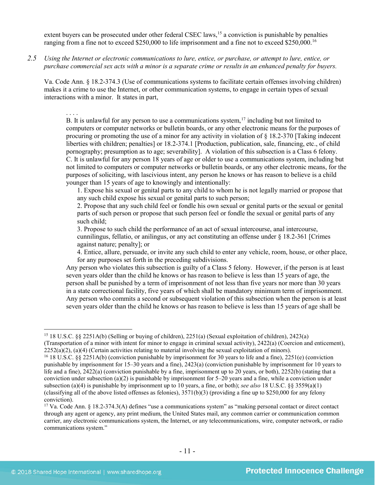extent buyers can be prosecuted under other federal CSEC laws,<sup>[15](#page-10-0)</sup> a conviction is punishable by penalties ranging from a fine not to exceed \$250,000 to life imprisonment and a fine not to exceed \$250,000.<sup>16</sup>

*2.5 Using the Internet or electronic communications to lure, entice, or purchase, or attempt to lure, entice, or purchase commercial sex acts with a minor is a separate crime or results in an enhanced penalty for buyers.*

Va. Code Ann. § 18.2-374.3 (Use of communications systems to facilitate certain offenses involving children) makes it a crime to use the Internet, or other communication systems, to engage in certain types of sexual interactions with a minor. It states in part,

. . . .

<span id="page-10-3"></span>B. It is unlawful for any person to use a communications system,  $17$  including but not limited to computers or computer networks or bulletin boards, or any other electronic means for the purposes of procuring or promoting the use of a minor for any activity in violation of § 18.2-370 [Taking indecent liberties with children; penalties] or 18.2-374.1 [Production, publication, sale, financing, etc., of child pornography; presumption as to age; severability]. A violation of this subsection is a Class 6 felony. C. It is unlawful for any person 18 years of age or older to use a communications system, including but not limited to computers or computer networks or bulletin boards, or any other electronic means, for the purposes of soliciting, with lascivious intent, any person he knows or has reason to believe is a child younger than 15 years of age to knowingly and intentionally:

1. Expose his sexual or genital parts to any child to whom he is not legally married or propose that any such child expose his sexual or genital parts to such person;

2. Propose that any such child feel or fondle his own sexual or genital parts or the sexual or genital parts of such person or propose that such person feel or fondle the sexual or genital parts of any such child;

3. Propose to such child the performance of an act of sexual intercourse, anal intercourse, cunnilingus, fellatio, or anilingus, or any act constituting an offense under § 18.2-361 [Crimes against nature; penalty]; or

4. Entice, allure, persuade, or invite any such child to enter any vehicle, room, house, or other place, for any purposes set forth in the preceding subdivisions.

Any person who violates this subsection is guilty of a Class 5 felony. However, if the person is at least seven years older than the child he knows or has reason to believe is less than 15 years of age, the person shall be punished by a term of imprisonment of not less than five years nor more than 30 years in a state correctional facility, five years of which shall be mandatory minimum term of imprisonment. Any person who commits a second or subsequent violation of this subsection when the person is at least seven years older than the child he knows or has reason to believe is less than 15 years of age shall be

<span id="page-10-0"></span> <sup>15</sup> 18 U.S.C. §§ 2251A(b) (Selling or buying of children), 2251(a) (Sexual exploitation of children), 2423(a) (Transportation of a minor with intent for minor to engage in criminal sexual activity), 2422(a) (Coercion and enticement),

<span id="page-10-1"></span> $2252(a)(2)$ , (a)(4) (Certain activities relating to material involving the sexual exploitation of minors).<br><sup>16</sup> 18 U.S.C. §§ 2251A(b) (conviction punishable by imprisonment for 30 years to life and a fine), 2251(e) (convic punishable by imprisonment for 15–30 years and a fine), 2423(a) (conviction punishable by imprisonment for 10 years to life and a fine), 2422(a) (conviction punishable by a fine, imprisonment up to 20 years, or both), 2252(b) (stating that a conviction under subsection (a)(2) is punishable by imprisonment for 5–20 years and a fine, while a conviction under subsection (a)(4) is punishable by imprisonment up to 10 years, a fine, or both); *see also* 18 U.S.C. §§ 3559(a)(1) (classifying all of the above listed offenses as felonies),  $3571(b)(3)$  (providing a fine up to \$250,000 for any felony conviction).

<span id="page-10-2"></span><sup>&</sup>lt;sup>17</sup> Va. Code Ann. § 18.2-374.3(A) defines "use a communications system" as "making personal contact or direct contact through any agent or agency, any print medium, the United States mail, any common carrier or communication common carrier, any electronic communications system, the Internet, or any telecommunications, wire, computer network, or radio communications system."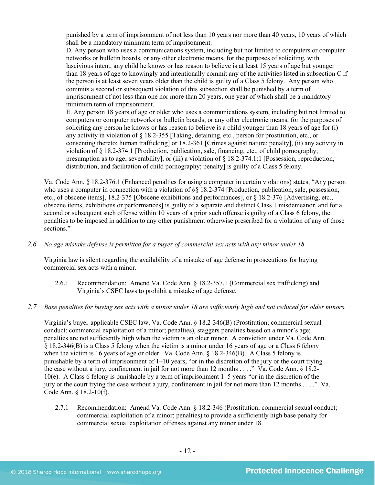punished by a term of imprisonment of not less than 10 years nor more than 40 years, 10 years of which shall be a mandatory minimum term of imprisonment.

D. Any person who uses a communications system, including but not limited to computers or computer networks or bulletin boards, or any other electronic means, for the purposes of soliciting, with lascivious intent, any child he knows or has reason to believe is at least 15 years of age but younger than 18 years of age to knowingly and intentionally commit any of the activities listed in subsection C if the person is at least seven years older than the child is guilty of a Class 5 felony. Any person who commits a second or subsequent violation of this subsection shall be punished by a term of imprisonment of not less than one nor more than 20 years, one year of which shall be a mandatory minimum term of imprisonment.

E. Any person 18 years of age or older who uses a communications system, including but not limited to computers or computer networks or bulletin boards, or any other electronic means, for the purposes of soliciting any person he knows or has reason to believe is a child younger than 18 years of age for (i) any activity in violation of § 18.2-355 [Taking, detaining, etc., person for prostitution, etc., or consenting thereto; human trafficking] or 18.2-361 [Crimes against nature; penalty], (ii) any activity in violation of § 18.2-374.1 [Production, publication, sale, financing, etc., of child pornography; presumption as to age; severability], or (iii) a violation of § 18.2-374.1:1 [Possession, reproduction, distribution, and facilitation of child pornography; penalty] is guilty of a Class 5 felony.

Va. Code Ann. § 18.2-376.1 (Enhanced penalties for using a computer in certain violations) states, "Any person who uses a computer in connection with a violation of §§ 18.2-374 [Production, publication, sale, possession, etc., of obscene items], 18.2-375 [Obscene exhibitions and performances], or § 18.2-376 [Advertising, etc., obscene items, exhibitions or performances] is guilty of a separate and distinct Class 1 misdemeanor, and for a second or subsequent such offense within 10 years of a prior such offense is guilty of a Class 6 felony, the penalties to be imposed in addition to any other punishment otherwise prescribed for a violation of any of those sections."

# *2.6 No age mistake defense is permitted for a buyer of commercial sex acts with any minor under 18.*

Virginia law is silent regarding the availability of a mistake of age defense in prosecutions for buying commercial sex acts with a minor.

- 2.6.1 Recommendation: Amend Va. Code Ann. § 18.2-357.1 (Commercial sex trafficking) and Virginia's CSEC laws to prohibit a mistake of age defense.
- *2.7 Base penalties for buying sex acts with a minor under 18 are sufficiently high and not reduced for older minors.*

Virginia's buyer-applicable CSEC law, Va. Code Ann. § 18.2-346(B) (Prostitution; commercial sexual conduct; commercial exploitation of a minor; penalties), staggers penalties based on a minor's age; penalties are not sufficiently high when the victim is an older minor. A conviction under Va. Code Ann. § 18.2-346(B) is a Class 5 felony when the victim is a minor under 16 years of age or a Class 6 felony when the victim is 16 years of age or older. Va. Code Ann. § 18.2-346(B). A Class 5 felony is punishable by a term of imprisonment of 1–10 years, "or in the discretion of the jury or the court trying the case without a jury, confinement in jail for not more than 12 months . . . ." Va. Code Ann. § 18.2- 10(e). A Class 6 felony is punishable by a term of imprisonment 1–5 years "or in the discretion of the jury or the court trying the case without a jury, confinement in jail for not more than 12 months . . . ." Va. Code Ann. § 18.2-10(f).

2.7.1 Recommendation: Amend Va. Code Ann. § 18.2-346 (Prostitution; commercial sexual conduct; commercial exploitation of a minor; penalties) to provide a sufficiently high base penalty for commercial sexual exploitation offenses against any minor under 18.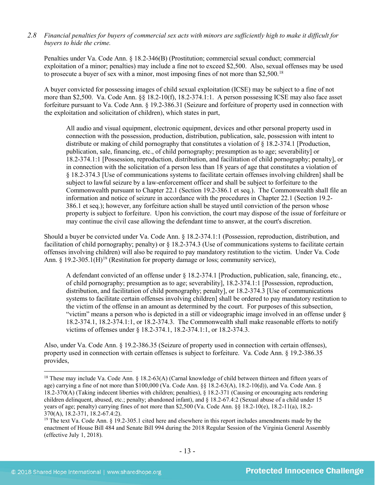*2.8 Financial penalties for buyers of commercial sex acts with minors are sufficiently high to make it difficult for buyers to hide the crime.*

Penalties under Va. Code Ann. § 18.2-346(B) (Prostitution; commercial sexual conduct; commercial exploitation of a minor; penalties) may include a fine not to exceed \$2,500. Also, sexual offenses may be used to prosecute a buyer of sex with a minor, most imposing fines of not more than \$2,500.<sup>18</sup>

A buyer convicted for possessing images of child sexual exploitation (ICSE) may be subject to a fine of not more than \$2,500. Va. Code Ann. §§ 18.2-10(f), 18.2-374.1:1. A person possessing ICSE may also face asset forfeiture pursuant to Va. Code Ann. § 19.2-386.31 (Seizure and forfeiture of property used in connection with the exploitation and solicitation of children), which states in part,

All audio and visual equipment, electronic equipment, devices and other personal property used in connection with the possession, production, distribution, publication, sale, possession with intent to distribute or making of child pornography that constitutes a violation of § 18.2-374.1 [Production, publication, sale, financing, etc., of child pornography; presumption as to age; severability] or 18.2-374.1:1 [Possession, reproduction, distribution, and facilitation of child pornography; penalty], or in connection with the solicitation of a person less than 18 years of age that constitutes a violation of § 18.2-374.3 [Use of communications systems to facilitate certain offenses involving children] shall be subject to lawful seizure by a law-enforcement officer and shall be subject to forfeiture to the Commonwealth pursuant to Chapter 22.1 (Section 19.2-386.1 et seq.). The Commonwealth shall file an information and notice of seizure in accordance with the procedures in Chapter 22.1 (Section 19.2- 386.1 et seq.); however, any forfeiture action shall be stayed until conviction of the person whose property is subject to forfeiture. Upon his conviction, the court may dispose of the issue of forfeiture or may continue the civil case allowing the defendant time to answer, at the court's discretion.

Should a buyer be convicted under Va. Code Ann. § 18.2-374.1:1 (Possession, reproduction, distribution, and facilitation of child pornography; penalty) or § 18.2-374.3 (Use of communications systems to facilitate certain offenses involving children) will also be required to pay mandatory restitution to the victim. Under Va. Code Ann. § [19](#page-12-1).2-305.1(H)<sup>19</sup> (Restitution for property damage or loss; community service),

<span id="page-12-2"></span>A defendant convicted of an offense under § 18.2-374.1 [Production, publication, sale, financing, etc., of child pornography; presumption as to age; severability], 18.2-374.1:1 [Possession, reproduction, distribution, and facilitation of child pornography; penalty], or 18.2-374.3 [Use of communications systems to facilitate certain offenses involving children] shall be ordered to pay mandatory restitution to the victim of the offense in an amount as determined by the court. For purposes of this subsection, "victim" means a person who is depicted in a still or videographic image involved in an offense under § 18.2-374.1, 18.2-374.1:1, or 18.2-374.3. The Commonwealth shall make reasonable efforts to notify victims of offenses under § 18.2-374.1, 18.2-374.1:1, or 18.2-374.3.

Also, under Va. Code Ann. § 19.2-386.35 (Seizure of property used in connection with certain offenses), property used in connection with certain offenses is subject to forfeiture. Va. Code Ann. § 19.2-386.35 provides,

<span id="page-12-0"></span> <sup>18</sup> These may include Va. Code Ann. § 18.2-63(A) (Carnal knowledge of child between thirteen and fifteen years of age) carrying a fine of not more than \$100,000 (Va. Code Ann. §§ 18.2-63(A), 18.2-10(d)), and Va. Code Ann. § 18.2-370(A) (Taking indecent liberties with children; penalties), § 18.2-371 (Causing or encouraging acts rendering children delinquent, abused, etc.; penalty; abandoned infant), and § 18.2-67.4:2 (Sexual abuse of a child under 15 years of age; penalty) carrying fines of not more than \$2,500 (Va. Code Ann. §§ 18.2-10(e), 18.2-11(a), 18.2- 370(A), 18.2-371, 18.2-67.4:2).

<span id="page-12-1"></span><sup>&</sup>lt;sup>19</sup> The text Va. Code Ann. § 19.2-305.1 cited here and elsewhere in this report includes amendments made by the enactment of House Bill 484 and Senate Bill 994 during the 2018 Regular Session of the Virginia General Assembly (effective July 1, 2018).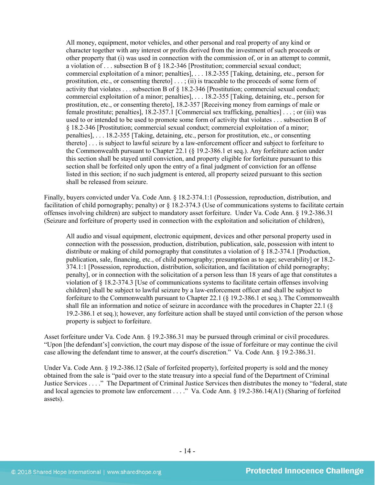All money, equipment, motor vehicles, and other personal and real property of any kind or character together with any interest or profits derived from the investment of such proceeds or other property that (i) was used in connection with the commission of, or in an attempt to commit, a violation of . . . subsection B of § 18.2-346 [Prostitution; commercial sexual conduct; commercial exploitation of a minor; penalties], . . . 18.2-355 [Taking, detaining, etc., person for prostitution, etc., or consenting thereto] . . . ; (ii) is traceable to the proceeds of some form of activity that violates . . . subsection B of § 18.2-346 [Prostitution; commercial sexual conduct; commercial exploitation of a minor; penalties], . . . 18.2-355 [Taking, detaining, etc., person for prostitution, etc., or consenting thereto], 18.2-357 [Receiving money from earnings of male or female prostitute; penalties], 18.2-357.1 [Commercial sex trafficking, penalties] [. . . ;](http://lis.virginia.gov/cgi-bin/legp604.exe?000+cod+40.1-29) or (iii) was used to or intended to be used to promote some form of activity that violates . . . subsection B of § 18.2-346 [Prostitution; commercial sexual conduct; commercial exploitation of a minor; penalties], . . . 18.2-355 [Taking, detaining, etc., person for prostitution, etc., or consenting thereto] . . . is subject to lawful seizure by a law-enforcement officer and subject to forfeiture to the Commonwealth pursuant to Chapter 22.1 (§ 19.2-386.1 et seq.). Any forfeiture action under this section shall be stayed until conviction, and property eligible for forfeiture pursuant to this section shall be forfeited only upon the entry of a final judgment of conviction for an offense listed in this section; if no such judgment is entered, all property seized pursuant to this section shall be released from seizure.

Finally, buyers convicted under Va. Code Ann. § 18.2-374.1:1 (Possession, reproduction, distribution, and facilitation of child pornography; penalty) or § 18.2-374.3 (Use of communications systems to facilitate certain offenses involving children) are subject to mandatory asset forfeiture. Under Va. Code Ann. § 19.2-386.31 (Seizure and forfeiture of property used in connection with the exploitation and solicitation of children),

All audio and visual equipment, electronic equipment, devices and other personal property used in connection with the possession, production, distribution, publication, sale, possession with intent to distribute or making of child pornography that constitutes a violation of § 18.2-374.1 [Production, publication, sale, financing, etc., of child pornography; presumption as to age; severability] or 18.2- 374.1:1 [Possession, reproduction, distribution, solicitation, and facilitation of child pornography; penalty], or in connection with the solicitation of a person less than 18 years of age that constitutes a violation of § 18.2-374.3 [Use of communications systems to facilitate certain offenses involving children] shall be subject to lawful seizure by a law-enforcement officer and shall be subject to forfeiture to the Commonwealth pursuant to Chapter 22.1 (§ 19.2-386.1 et seq.). The Commonwealth shall file an information and notice of seizure in accordance with the procedures in Chapter 22.1 (§ 19.2-386.1 et seq.); however, any forfeiture action shall be stayed until conviction of the person whose property is subject to forfeiture.

Asset forfeiture under Va. Code Ann. § 19.2-386.31 may be pursued through criminal or civil procedures. "Upon [the defendant's] conviction, the court may dispose of the issue of forfeiture or may continue the civil case allowing the defendant time to answer, at the court's discretion." Va. Code Ann. § 19.2-386.31.

Under Va. Code Ann. § 19.2-386.12 (Sale of forfeited property), forfeited property is sold and the money obtained from the sale is "paid over to the state treasury into a special fund of the Department of Criminal Justice Services . . . ." The Department of Criminal Justice Services then distributes the money to "federal, state and local agencies to promote law enforcement . . . ." Va. Code Ann. § 19.2-386.14(A1) (Sharing of forfeited assets).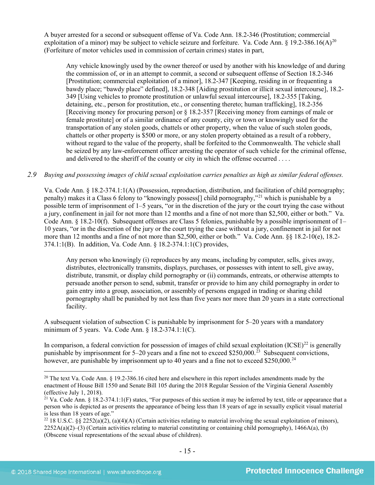A buyer arrested for a second or subsequent offense of Va. Code Ann. 18.2-346 (Prostitution; commercial exploitation of a minor) may be subject to vehicle seizure and forfeiture. Va. Code Ann.  $\S$  19.2-386.16(A)<sup>[20](#page-14-0)</sup> (Forfeiture of motor vehicles used in commission of certain crimes) states in part,

<span id="page-14-5"></span>Any vehicle knowingly used by the owner thereof or used by another with his knowledge of and during the commission of, or in an attempt to commit, a second or subsequent offense of Section 18.2-346 [Prostitution; commercial exploitation of a minor], 18.2-347 [Keeping, residing in or frequenting a bawdy place; "bawdy place" defined], 18.2-348 [Aiding prostitution or illicit sexual intercourse], 18.2- 349 [Using vehicles to promote prostitution or unlawful sexual intercourse], 18.2-355 [Taking, detaining, etc., person for prostitution, etc., or consenting thereto; human trafficking], 18.2-356 [Receiving money for procuring person] or § 18.2-357 [Receiving money from earnings of male or female prostitute] or of a similar ordinance of any county, city or town or knowingly used for the transportation of any stolen goods, chattels or other property, when the value of such stolen goods, chattels or other property is \$500 or more, or any stolen property obtained as a result of a robbery, without regard to the value of the property, shall be forfeited to the Commonwealth. The vehicle shall be seized by any law-enforcement officer arresting the operator of such vehicle for the criminal offense, and delivered to the sheriff of the county or city in which the offense occurred . . . .

# *2.9 Buying and possessing images of child sexual exploitation carries penalties as high as similar federal offenses.*

Va. Code Ann. § 18.2-374.1:1(A) (Possession, reproduction, distribution, and facilitation of child pornography; penalty) makes it a Class 6 felony to "knowingly possess[] child pornography,"[21](#page-14-1) which is punishable by a possible term of imprisonment of 1–5 years, "or in the discretion of the jury or the court trying the case without a jury, confinement in jail for not more than 12 months and a fine of not more than \$2,500, either or both." Va. Code Ann. § 18.2-10(f). Subsequent offenses are Class 5 felonies, punishable by a possible imprisonment of 1– 10 years, "or in the discretion of the jury or the court trying the case without a jury, confinement in jail for not more than 12 months and a fine of not more than \$2,500, either or both." Va. Code Ann. §§ 18.2-10(e), 18.2- 374.1:1(B). In addition, Va. Code Ann. § 18.2-374.1:1(C) provides,

Any person who knowingly (i) reproduces by any means, including by computer, sells, gives away, distributes, electronically transmits, displays, purchases, or possesses with intent to sell, give away, distribute, transmit, or display child pornography or (ii) commands, entreats, or otherwise attempts to persuade another person to send, submit, transfer or provide to him any child pornography in order to gain entry into a group, association, or assembly of persons engaged in trading or sharing child pornography shall be punished by not less than five years nor more than 20 years in a state correctional facility.

A subsequent violation of subsection C is punishable by imprisonment for 5–20 years with a mandatory minimum of 5 years. Va. Code Ann. § 18.2-374.1:1(C).

<span id="page-14-3"></span>In comparison, a federal conviction for possession of images of child sexual exploitation  $(ICSE)^{22}$  $(ICSE)^{22}$  $(ICSE)^{22}$  is generally punishable by imprisonment for  $5-20$  years and a fine not to exceed \$250,000.<sup>[23](#page-14-3)</sup> Subsequent convictions, however, are punishable by imprisonment up to 40 years and a fine not to exceed \$250,000.<sup>24</sup>

<span id="page-14-0"></span><sup>&</sup>lt;sup>20</sup> The text Va. Code Ann.  $\delta$  19.2-386.16 cited here and elsewhere in this report includes amendments made by the enactment of House Bill 1550 and Senate Bill 105 during the 2018 Regular Session of the Virginia General Assembly (effective July 1, 2018).

<span id="page-14-4"></span><span id="page-14-1"></span><sup>&</sup>lt;sup>21</sup> Va. Code Ann. § 18.2-374.1:1(F) states, "For purposes of this section it may be inferred by text, title or appearance that a person who is depicted as or presents the appearance of being less than 18 years of age in sexually explicit visual material is less than 18 years of age."

<span id="page-14-2"></span><sup>&</sup>lt;sup>22</sup> 18 U.S.C. §§ 2252(a)(2), (a)(4)(A) (Certain activities relating to material involving the sexual exploitation of minors),  $2252A(a)(2)$ –(3) (Certain activities relating to material constituting or containing child pornography), 1466A(a), (b) (Obscene visual representations of the sexual abuse of children).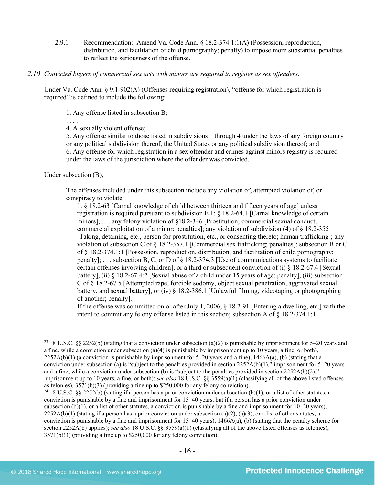- 2.9.1 Recommendation: Amend Va. Code Ann. § 18.2-374.1:1(A) (Possession, reproduction, distribution, and facilitation of child pornography; penalty) to impose more substantial penalties to reflect the seriousness of the offense.
- *2.10 Convicted buyers of commercial sex acts with minors are required to register as sex offenders*.

Under Va. Code Ann. § 9.1-902(A) (Offenses requiring registration), "offense for which registration is required" is defined to include the following:

1. Any offense listed in subsection B;

. . . . 4. A sexually violent offense;

5. Any offense similar to those listed in subdivisions 1 through 4 under the laws of any foreign country or any political subdivision thereof, the United States or any political subdivision thereof; and 6. Any offense for which registration in a sex offender and crimes against minors registry is required under the laws of the jurisdiction where the offender was convicted.

Under subsection (B),

The offenses included under this subsection include any violation of, attempted violation of, or conspiracy to violate:

1. § 18.2-63 [Carnal knowledge of child between thirteen and fifteen years of age] unless registration is required pursuant to subdivision E 1;  $\S$  18.2-64.1 [Carnal knowledge of certain minors]; . . . any felony violation of §18.2-346 [Prostitution; commercial sexual conduct; commercial exploitation of a minor; penalties]; any violation of subdivision (4) of § 18.2-355 [Taking, detaining, etc., person for prostitution, etc., or consenting thereto; human trafficking]; any violation of subsection C of § 18.2-357.1 [Commercial sex trafficking; penalties]; subsection B or C of § 18.2-374.1:1 [Possession, reproduction, distribution, and facilitation of child pornography; penalty]; . . . subsection B, C, or D of § 18.2-374.3 [Use of communications systems to facilitate certain offenses involving children]; or a third or subsequent conviction of (i) § 18.2-67.4 [Sexual battery], (ii) § 18.2-67.4:2 [Sexual abuse of a child under 15 years of age; penalty], (iii) subsection C of § 18.2-67.5 [Attempted rape, forcible sodomy, object sexual penetration, aggravated sexual battery, and sexual battery], or (iv) § 18.2-386.1 [Unlawful filming, videotaping or photographing of another; penalty].

If the offense was committed on or after July 1, 2006, § 18.2-91 [Entering a dwelling, etc.] with the intent to commit any felony offense listed in this section; subsection A of § 18.2-374.1:1

<sup>&</sup>lt;sup>23</sup> 18 U.S.C. §§ 2252(b) (stating that a conviction under subsection (a)(2) is punishable by imprisonment for 5–20 years and a fine, while a conviction under subsection (a)(4) is punishable by imprisonment up to 10 years, a fine, or both),  $2252A(b)(1)$  (a conviction is punishable by imprisonment for 5–20 years and a fine),  $1466A(a)$ , (b) (stating that a conviction under subsection (a) is "subject to the penalties provided in section  $2252A(b)(1)$ ," imprisonment for 5–20 years and a fine, while a conviction under subsection (b) is "subject to the penalties provided in section  $2252A(b)(2)$ ," imprisonment up to 10 years, a fine, or both); *see also* 18 U.S.C. §§ 3559(a)(1) (classifying all of the above listed offenses as felonies), 3571(b)(3) (providing a fine up to \$250,000 for any felony conviction).

<sup>&</sup>lt;sup>24</sup> 18 U.S.C. §§ 2252(b) (stating if a person has a prior conviction under subsection (b)(1), or a list of other statutes, a conviction is punishable by a fine and imprisonment for 15–40 years, but if a person has a prior conviction under subsection (b)(1), or a list of other statutes, a conviction is punishable by a fine and imprisonment for  $10-20$  years),  $2252A(b)(1)$  (stating if a person has a prior conviction under subsection (a)(2), (a)(3), or a list of other statutes, a conviction is punishable by a fine and imprisonment for 15–40 years), 1466A(a), (b) (stating that the penalty scheme for section 2252A(b) applies); *see also* 18 U.S.C. §§ 3559(a)(1) (classifying all of the above listed offenses as felonies), 3571(b)(3) (providing a fine up to \$250,000 for any felony conviction).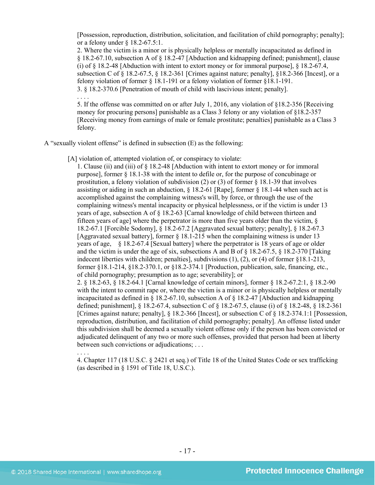[Possession, reproduction, distribution, solicitation, and facilitation of child pornography; penalty]; or a felony under § 18.2-67.5:1.

2. Where the victim is a minor or is physically helpless or mentally incapacitated as defined in § 18.2-67.10, subsection A of § 18.2-47 [Abduction and kidnapping defined; punishment], clause (i) of  $\S$  18.2-48 [Abduction with intent to extort money or for immoral purpose],  $\S$  18.2-67.4, subsection C of  $\S$  18.2-67.5,  $\S$  18.2-361 [Crimes against nature; penalty],  $\S$ 18.2-366 [Incest], or a felony violation of former § 18.1-191 or a felony violation of former §18.1-191. 3. § 18.2-370.6 [Penetration of mouth of child with lascivious intent; penalty].

. . . .

5. If the offense was committed on or after July 1, 2016, any violation of §18.2-356 [Receiving money for procuring persons] punishable as a Class 3 felony or any violation of §18.2-357 [Receiving money from earnings of male or female prostitute; penalties] punishable as a Class 3 felony.

A "sexually violent offense" is defined in subsection (E) as the following:

[A] violation of, attempted violation of, or conspiracy to violate:

1. Clause (ii) and (iii) of § 18.2-48 [Abduction with intent to extort money or for immoral purpose], former § 18.1-38 with the intent to defile or, for the purpose of concubinage or prostitution, a felony violation of subdivision (2) or (3) of former § 18.1-39 that involves assisting or aiding in such an abduction,  $\S$  18.2-61 [Rape], former  $\S$  18.1-44 when such act is accomplished against the complaining witness's will, by force, or through the use of the complaining witness's mental incapacity or physical helplessness, or if the victim is under 13 years of age, subsection A of § 18.2-63 [Carnal knowledge of child between thirteen and fifteen years of age] where the perpetrator is more than five years older than the victim,  $\S$ 18.2-67.1 [Forcible Sodomy], § 18.2-67.2 [Aggravated sexual battery; penalty], § 18.2-67.3 [Aggravated sexual battery], former § 18.1-215 when the complaining witness is under 13 years of age, § 18.2-67.4 [Sexual battery] where the perpetrator is 18 years of age or older and the victim is under the age of six, subsections A and B of § 18.2-67.5, § 18.2-370 [Taking indecent liberties with children; penalties], subdivisions (1), (2), or (4) of former §18.1-213, former §18.1-214, §18.2-370.1, or §18.2-374.1 [Production, publication, sale, financing, etc., of child pornography; presumption as to age; severability]; or 2. § 18.2-63, § 18.2-64.1 [Carnal knowledge of certain minors], former § 18.2-67.2:1, § 18.2-90 with the intent to commit rape or, where the victim is a minor or is physically helpless or mentally incapacitated as defined in  $\S 18.2-67.10$ , subsection A of  $\S 18.2-47$  [Abduction and kidnapping defined; punishment], § 18.2-67.4, subsection C of § 18.2-67.5, clause (i) of § 18.2-48, § 18.2-361 [Crimes against nature; penalty], § 18.2-366 [Incest], or subsection C of § 18.2-374.1:1 [Possession,

reproduction, distribution, and facilitation of child pornography; penalty]. An offense listed under this subdivision shall be deemed a sexually violent offense only if the person has been convicted or adjudicated delinquent of any two or more such offenses, provided that person had been at liberty between such convictions or adjudications; ...

4. Chapter 117 (18 U.S.C. § 2421 et seq.) of Title 18 of the United States Code or sex trafficking (as described in § 1591 of Title 18, U.S.C.).

. . . .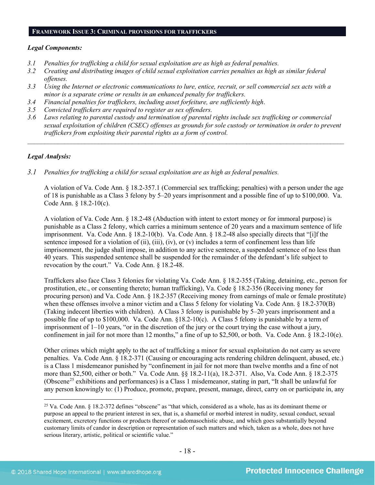#### **FRAMEWORK ISSUE 3: CRIMINAL PROVISIONS FOR TRAFFICKERS**

#### *Legal Components:*

- *3.1 Penalties for trafficking a child for sexual exploitation are as high as federal penalties.*
- *3.2 Creating and distributing images of child sexual exploitation carries penalties as high as similar federal offenses.*
- *3.3 Using the Internet or electronic communications to lure, entice, recruit, or sell commercial sex acts with a minor is a separate crime or results in an enhanced penalty for traffickers.*
- *3.4 Financial penalties for traffickers, including asset forfeiture, are sufficiently high*.
- *3.5 Convicted traffickers are required to register as sex offenders.*
- *3.6 Laws relating to parental custody and termination of parental rights include sex trafficking or commercial sexual exploitation of children (CSEC) offenses as grounds for sole custody or termination in order to prevent traffickers from exploiting their parental rights as a form of control.*

*\_\_\_\_\_\_\_\_\_\_\_\_\_\_\_\_\_\_\_\_\_\_\_\_\_\_\_\_\_\_\_\_\_\_\_\_\_\_\_\_\_\_\_\_\_\_\_\_\_\_\_\_\_\_\_\_\_\_\_\_\_\_\_\_\_\_\_\_\_\_\_\_\_\_\_\_\_\_\_\_\_\_\_\_\_\_\_\_\_\_\_\_\_\_*

#### *Legal Analysis:*

*3.1 Penalties for trafficking a child for sexual exploitation are as high as federal penalties.* 

A violation of Va. Code Ann. § 18.2-357.1 (Commercial sex trafficking; penalties) with a person under the age of 18 is punishable as a Class 3 felony by 5–20 years imprisonment and a possible fine of up to \$100,000. Va. Code Ann. § 18.2-10(c).

A violation of Va. Code Ann. § 18.2-48 (Abduction with intent to extort money or for immoral purpose) is punishable as a Class 2 felony, which carries a minimum sentence of 20 years and a maximum sentence of life imprisonment. Va. Code Ann. § 18.2-10(b). Va. Code Ann. § 18.2-48 also specially directs that "[i]f the sentence imposed for a violation of (ii), (iii), (iv), or (v) includes a term of confinement less than life imprisonment, the judge shall impose, in addition to any active sentence, a suspended sentence of no less than 40 years. This suspended sentence shall be suspended for the remainder of the defendant's life subject to revocation by the court." Va. Code Ann. § 18.2-48.

Traffickers also face Class 3 felonies for violating Va. Code Ann. § 18.2-355 (Taking, detaining, etc., person for prostitution, etc., or consenting thereto; human trafficking), Va. Code § 18.2-356 (Receiving money for procuring person) and Va. Code Ann. § 18.2-357 (Receiving money from earnings of male or female prostitute) when these offenses involve a minor victim and a Class 5 felony for violating Va. Code Ann. § 18.2-370(B) (Taking indecent liberties with children). A Class 3 felony is punishable by 5–20 years imprisonment and a possible fine of up to \$100,000. Va. Code Ann. §18.2-10(c). A Class 5 felony is punishable by a term of imprisonment of 1–10 years, "or in the discretion of the jury or the court trying the case without a jury, confinement in jail for not more than 12 months," a fine of up to \$2,500, or both. Va. Code Ann. § 18.2-10(e).

Other crimes which might apply to the act of trafficking a minor for sexual exploitation do not carry as severe penalties. Va. Code Ann. § 18.2-371 (Causing or encouraging acts rendering children delinquent, abused, etc.) is a Class 1 misdemeanor punished by "confinement in jail for not more than twelve months and a fine of not more than \$2,500, either or both." Va. Code Ann. §§ 18.2-11(a), 18.2-371. Also, Va. Code Ann. § 18.2-375 (Obscene[25](#page-17-0) exhibitions and performances) is a Class 1 misdemeanor, stating in part, "It shall be unlawful for any person knowingly to: (1) Produce, promote, prepare, present, manage, direct, carry on or participate in, any

<span id="page-17-0"></span> $25$  Va. Code Ann. § 18.2-372 defines "obscene" as "that which, considered as a whole, has as its dominant theme or purpose an appeal to the prurient interest in sex, that is, a shameful or morbid interest in nudity, sexual conduct, sexual excitement, excretory functions or products thereof or sadomasochistic abuse, and which goes substantially beyond customary limits of candor in description or representation of such matters and which, taken as a whole, does not have serious literary, artistic, political or scientific value."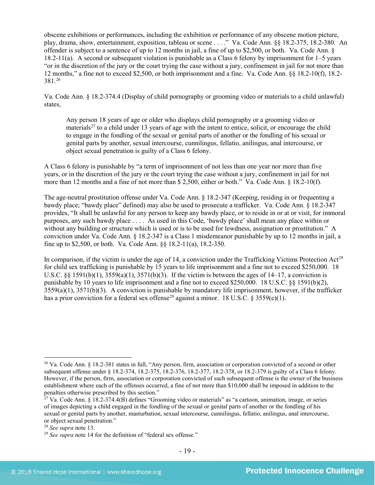obscene exhibitions or performances, including the exhibition or performance of any obscene motion picture, play, drama, show, entertainment, exposition, tableau or scene . . . ." Va. Code Ann. §§ 18.2-375, 18.2-380. An offender is subject to a sentence of up to 12 months in jail, a fine of up to \$2,500, or both. Va. Code Ann. § 18.2-11(a). A second or subsequent violation is punishable as a Class 6 felony by imprisonment for 1–5 years "or in the discretion of the jury or the court trying the case without a jury, confinement in jail for not more than 12 months," a fine not to exceed \$2,500, or both imprisonment and a fine. Va. Code Ann. §§ 18.2-10(f), 18.2- 381.[26](#page-18-0) 

Va. Code Ann. § 18.2-374.4 (Display of child pornography or grooming video or materials to a child unlawful) states,

Any person 18 years of age or older who displays child pornography or a grooming video or materials<sup>[27](#page-18-1)</sup> to a child under 13 years of age with the intent to entice, solicit, or encourage the child to engage in the fondling of the sexual or genital parts of another or the fondling of his sexual or genital parts by another, sexual intercourse, cunnilingus, fellatio, anilingus, anal intercourse, or object sexual penetration is guilty of a Class 6 felony.

A Class 6 felony is punishable by "a term of imprisonment of not less than one year nor more than five years, or in the discretion of the jury or the court trying the case without a jury, confinement in jail for not more than 12 months and a fine of not more than \$ 2,500, either or both." Va. Code Ann. § 18.2-10(f).

The age-neutral prostitution offense under Va. Code Ann. § 18.2-347 (Keeping, residing in or frequenting a bawdy place; "bawdy place" defined) may also be used to prosecute a trafficker. Va. Code Ann. § 18.2-347 provides, "It shall be unlawful for any person to keep any bawdy place, or to reside in or at or visit, for immoral purposes, any such bawdy place . . . . As used in this Code, 'bawdy place' shall mean any place within or without any building or structure which is used or is to be used for lewdness, assignation or prostitution." A conviction under Va. Code Ann. § 18.2-347 is a Class 1 misdemeanor punishable by up to 12 months in jail, a fine up to \$2,500, or both. Va. Code Ann. §§ 18.2-11(a), 18.2-350.

In comparison, if the victim is under the age of 14, a conviction under the Trafficking Victims Protection Act<sup>28</sup> for child sex trafficking is punishable by 15 years to life imprisonment and a fine not to exceed \$250,000. 18 U.S.C. §§ 1591(b)(1),  $3559(a)(1)$ ,  $3571(b)(3)$ . If the victim is between the ages of 14–17, a conviction is punishable by 10 years to life imprisonment and a fine not to exceed \$250,000. 18 U.S.C. §§ 1591(b)(2), 3559(a)(1), 3571(b)(3). A conviction is punishable by mandatory life imprisonment, however, if the trafficker has a prior conviction for a federal sex offense<sup>[29](#page-18-3)</sup> against a minor. 18 U.S.C. § 3559(e)(1).

<span id="page-18-0"></span><sup>&</sup>lt;sup>26</sup> Va. Code Ann. § 18.2-381 states in full, "Any person, firm, association or corporation convicted of a second or other subsequent offense under § 18.2-374, 18.2-375, 18.2-376, 18.2-377, 18.2-378, or 18.2-379 is guilty of a Class 6 felony. However, if the person, firm, association or corporation convicted of such subsequent offense is the owner of the business establishment where each of the offenses occurred, a fine of not more than \$10,000 shall be imposed in addition to the penalties otherwise prescribed by this section."

<span id="page-18-1"></span><sup>&</sup>lt;sup>27</sup> Va. Code Ann. § 18.2-374.4(B) defines "Grooming video or materials" as "a cartoon, animation, image, or series of images depicting a child engaged in the fondling of the sexual or genital parts of another or the fondling of his sexual or genital parts by another, masturbation, sexual intercourse, cunnilingus, fellatio, anilingus, anal intercourse, or object sexual penetration."

<span id="page-18-3"></span><span id="page-18-2"></span><sup>28</sup> *See supra* note [13.](#page-9-4)

<sup>29</sup> *See supra* note [14](#page-9-5) for the definition of "federal sex offense."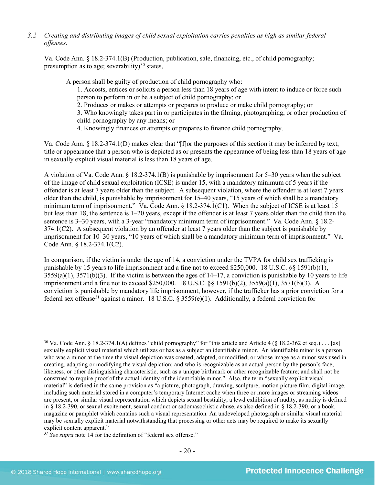*3.2 Creating and distributing images of child sexual exploitation carries penalties as high as similar federal offenses*.

Va. Code Ann. § 18.2-374.1(B) (Production, publication, sale, financing, etc., of child pornography; presumption as to age; severability) $30$  states,

A person shall be guilty of production of child pornography who:

<span id="page-19-2"></span>1. Accosts, entices or solicits a person less than 18 years of age with intent to induce or force such person to perform in or be a subject of child pornography; or

2. Produces or makes or attempts or prepares to produce or make child pornography; or

3. Who knowingly takes part in or participates in the filming, photographing, or other production of child pornography by any means; or

4. Knowingly finances or attempts or prepares to finance child pornography.

Va. Code Ann. § 18.2-374.1(D) makes clear that "[f]or the purposes of this section it may be inferred by text, title or appearance that a person who is depicted as or presents the appearance of being less than 18 years of age in sexually explicit visual material is less than 18 years of age.

A violation of Va. Code Ann. § 18.2-374.1(B) is punishable by imprisonment for 5–30 years when the subject of the image of child sexual exploitation (ICSE) is under 15, with a mandatory minimum of 5 years if the offender is at least 7 years older than the subject. A subsequent violation, where the offender is at least 7 years older than the child, is punishable by imprisonment for 15–40 years, "15 years of which shall be a mandatory minimum term of imprisonment." Va. Code Ann. § 18.2-374.1(C1). When the subject of ICSE is at least 15 but less than 18, the sentence is 1–20 years, except if the offender is at least 7 years older than the child then the sentence is 3–30 years, with a 3-year "mandatory minimum term of imprisonment." Va. Code Ann. § 18.2-374.1(C2). A subsequent violation by an offender at least 7 years older than the subject is punishable by imprisonment for 10–30 years, "10 years of which shall be a mandatory minimum term of imprisonment." Va. Code Ann. § 18.2-374.1(C2).

In comparison, if the victim is under the age of 14, a conviction under the TVPA for child sex trafficking is punishable by 15 years to life imprisonment and a fine not to exceed \$250,000. 18 U.S.C. §§ 1591(b)(1),  $3559(a)(1)$ ,  $3571(b)(3)$ . If the victim is between the ages of  $14-17$ , a conviction is punishable by 10 years to life imprisonment and a fine not to exceed \$250,000. 18 U.S.C. §§ 1591(b)(2), 3559(a)(1), 3571(b)(3). A conviction is punishable by mandatory life imprisonment, however, if the trafficker has a prior conviction for a federal sex offense<sup>[31](#page-19-1)</sup> against a minor. 18 U.S.C. § 3559(e)(1). Additionally, a federal conviction for

<span id="page-19-1"></span>*<sup>31</sup> See supra* note [14](#page-9-5) for the definition of "federal sex offense."

<span id="page-19-0"></span><sup>&</sup>lt;sup>30</sup> Va. Code Ann. § 18.2-374.1(A) defines "child pornography" for "this article and Article 4 (§ 18.2-362 et seq.) . . . [as] sexually explicit visual material which utilizes or has as a subject an identifiable minor. An identifiable minor is a person who was a minor at the time the visual depiction was created, adapted, or modified; or whose image as a minor was used in creating, adapting or modifying the visual depiction; and who is recognizable as an actual person by the person's face, likeness, or other distinguishing characteristic, such as a unique birthmark or other recognizable feature; and shall not be construed to require proof of the actual identity of the identifiable minor." Also, the term "sexually explicit visual material" is defined in the same provision as "a picture, photograph, drawing, sculpture, motion picture film, digital image, including such material stored in a computer's temporary Internet cache when three or more images or streaming videos are present, or similar visual representation which depicts sexual bestiality, a lewd exhibition of nudity, as nudity is defined in § 18.2-390, or sexual excitement, sexual conduct or sadomasochistic abuse, as also defined in § 18.2-390, or a book, magazine or pamphlet which contains such a visual representation. An undeveloped photograph or similar visual material may be sexually explicit material notwithstanding that processing or other acts may be required to make its sexually explicit content apparent."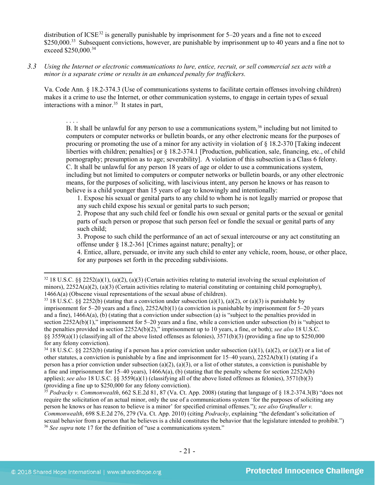distribution of ICSE<sup>[32](#page-20-0)</sup> is generally punishable by imprisonment for  $5-20$  years and a fine not to exceed \$250,000.<sup>[33](#page-20-1)</sup> Subsequent convictions, however, are punishable by imprisonment up to 40 years and a fine not to exceed \$250,000.<sup>[34](#page-20-2)</sup>

*3.3 Using the Internet or electronic communications to lure, entice, recruit, or sell commercial sex acts with a minor is a separate crime or results in an enhanced penalty for traffickers.*

Va. Code Ann. § 18.2-374.3 (Use of communications systems to facilitate certain offenses involving children) makes it a crime to use the Internet, or other communication systems, to engage in certain types of sexual interactions with a minor.<sup>[35](#page-20-3)</sup> It states in part,

. . . .

B. It shall be unlawful for any person to use a communications system,<sup>[36](#page-20-4)</sup> including but not limited to computers or computer networks or bulletin boards, or any other electronic means for the purposes of procuring or promoting the use of a minor for any activity in violation of § 18.2-370 [Taking indecent liberties with children; penalties] or § 18.2-374.1 [Production, publication, sale, financing, etc., of child pornography; presumption as to age; severability]. A violation of this subsection is a Class 6 felony. C. It shall be unlawful for any person 18 years of age or older to use a communications system, including but not limited to computers or computer networks or bulletin boards, or any other electronic means, for the purposes of soliciting, with lascivious intent, any person he knows or has reason to believe is a child younger than 15 years of age to knowingly and intentionally:

1. Expose his sexual or genital parts to any child to whom he is not legally married or propose that any such child expose his sexual or genital parts to such person;

2. Propose that any such child feel or fondle his own sexual or genital parts or the sexual or genital parts of such person or propose that such person feel or fondle the sexual or genital parts of any such child;

3. Propose to such child the performance of an act of sexual intercourse or any act constituting an offense under § 18.2-361 [Crimes against nature; penalty]; or

4. Entice, allure, persuade, or invite any such child to enter any vehicle, room, house, or other place, for any purposes set forth in the preceding subdivisions.

<span id="page-20-0"></span> $32\,18$  U.S.C. §§ 2252(a)(1), (a)(2), (a)(3) (Certain activities relating to material involving the sexual exploitation of minors),  $2252A(a)(2)$ ,  $(a)(3)$  (Certain activities relating to material constituting or containing child pornography), 1466A(a) (Obscene visual representations of the sexual abuse of children).

<span id="page-20-1"></span><sup>&</sup>lt;sup>33</sup> 18 U.S.C. §§ 2252(b) (stating that a conviction under subsection (a)(1), (a)(2), or (a)(3) is punishable by imprisonment for 5–20 years and a fine), 2252A(b)(1) (a conviction is punishable by imprisonment for 5–20 years and a fine), 1466A(a), (b) (stating that a conviction under subsection (a) is "subject to the penalties provided in section 2252A(b)(1)," imprisonment for 5–20 years and a fine, while a conviction under subsection (b) is "subject to the penalties provided in section 2252A(b)(2)," imprisonment up to 10 years, a fine, or both); *see also* 18 U.S.C. §§ 3559(a)(1) (classifying all of the above listed offenses as felonies), 3571(b)(3) (providing a fine up to \$250,000 for any felony conviction).

<span id="page-20-2"></span><sup>&</sup>lt;sup>34</sup> 18 U.S.C. §§ 2252(b) (stating if a person has a prior conviction under subsection (a)(1), (a)(2), or (a)(3) or a list of other statutes, a conviction is punishable by a fine and imprisonment for  $15-40$  years),  $2252A(b)(1)$  (stating if a person has a prior conviction under subsection (a)(2), (a)(3), or a list of other statutes, a conviction is punishable by a fine and imprisonment for 15–40 years),  $1466A(a)$ , (b) (stating that the penalty scheme for section 2252A(b) applies); *see also* 18 U.S.C. §§ 3559(a)(1) (classifying all of the above listed offenses as felonies), 3571(b)(3) (providing a fine up to \$250,000 for any felony conviction).

<span id="page-20-4"></span><span id="page-20-3"></span><sup>35</sup> *Podracky v. Commonwealth*, 662 S.E.2d 81, 87 (Va. Ct. App. 2008) (stating that language of § 18.2-374.3(B) "does not require the solicitation of an actual minor, only the use of a communications system 'for the purposes of soliciting any person he knows or has reason to believe is a minor' for specified criminal offenses."); *see also Grafmuller v. Commonwealth*, 698 S.E.2d 276, 279 (Va. Ct. App. 2010) (citing *Podracky*, explaining "the defendant's solicitation of sexual behavior from a person that he believes is a child constitutes the behavior that the legislature intended to prohibit.") <sup>36</sup> See supra note [17](#page-10-3) for the definition of "use a communications system."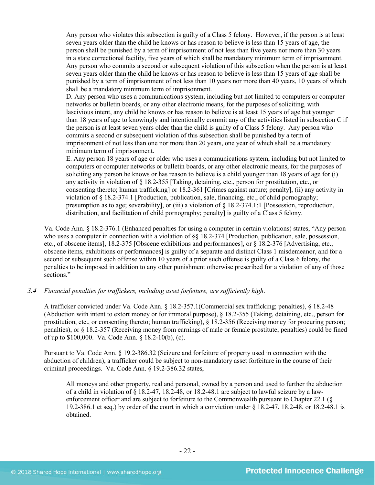Any person who violates this subsection is guilty of a Class 5 felony. However, if the person is at least seven years older than the child he knows or has reason to believe is less than 15 years of age, the person shall be punished by a term of imprisonment of not less than five years nor more than 30 years in a state correctional facility, five years of which shall be mandatory minimum term of imprisonment. Any person who commits a second or subsequent violation of this subsection when the person is at least seven years older than the child he knows or has reason to believe is less than 15 years of age shall be punished by a term of imprisonment of not less than 10 years nor more than 40 years, 10 years of which shall be a mandatory minimum term of imprisonment.

D. Any person who uses a communications system, including but not limited to computers or computer networks or bulletin boards, or any other electronic means, for the purposes of soliciting, with lascivious intent, any child he knows or has reason to believe is at least 15 years of age but younger than 18 years of age to knowingly and intentionally commit any of the activities listed in subsection C if the person is at least seven years older than the child is guilty of a Class 5 felony. Any person who commits a second or subsequent violation of this subsection shall be punished by a term of imprisonment of not less than one nor more than 20 years, one year of which shall be a mandatory minimum term of imprisonment.

E. Any person 18 years of age or older who uses a communications system, including but not limited to computers or computer networks or bulletin boards, or any other electronic means, for the purposes of soliciting any person he knows or has reason to believe is a child younger than 18 years of age for (i) any activity in violation of § 18.2-355 [Taking, detaining, etc., person for prostitution, etc., or consenting thereto; human trafficking] or 18.2-361 [Crimes against nature; penalty], (ii) any activity in violation of § 18.2-374.1 [Production, publication, sale, financing, etc., of child pornography; presumption as to age; severability], or (iii) a violation of § 18.2-374.1:1 [Possession, reproduction, distribution, and facilitation of child pornography; penalty] is guilty of a Class 5 felony.

Va. Code Ann. § 18.2-376.1 (Enhanced penalties for using a computer in certain violations) states, "Any person who uses a computer in connection with a violation of  $\S$  18.2-374 [Production, publication, sale, possession, etc., of obscene items], 18.2-375 [Obscene exhibitions and performances], or § 18.2-376 [Advertising, etc., obscene items, exhibitions or performances] is guilty of a separate and distinct Class 1 misdemeanor, and for a second or subsequent such offense within 10 years of a prior such offense is guilty of a Class 6 felony, the penalties to be imposed in addition to any other punishment otherwise prescribed for a violation of any of those sections."

#### *3.4 Financial penalties for traffickers, including asset forfeiture, are sufficiently high*.

A trafficker convicted under Va. Code Ann. § 18.2-357.1(Commercial sex trafficking; penalties), § 18.2-48 (Abduction with intent to extort money or for immoral purpose), § 18.2-355 (Taking, detaining, etc., person for prostitution, etc., or consenting thereto; human trafficking), § 18.2-356 (Receiving money for procuring person; penalties), or § 18.2-357 (Receiving money from earnings of male or female prostitute; penalties) could be fined of up to \$100,000. Va. Code Ann. § 18.2-10(b), (c).

Pursuant to Va. Code Ann. § 19.2-386.32 (Seizure and forfeiture of property used in connection with the abduction of children), a trafficker could be subject to non-mandatory asset forfeiture in the course of their criminal proceedings. Va. Code Ann. § 19.2-386.32 states,

All moneys and other property, real and personal, owned by a person and used to further the abduction of a child in violation of § 18.2-47, 18.2-48, or 18.2-48.1 are subject to lawful seizure by a lawenforcement officer and are subject to forfeiture to the Commonwealth pursuant to Chapter 22.1 (§ 19.2-386.1 et seq.) by order of the court in which a conviction under § 18.2-47, 18.2-48, or 18.2-48.1 is obtained.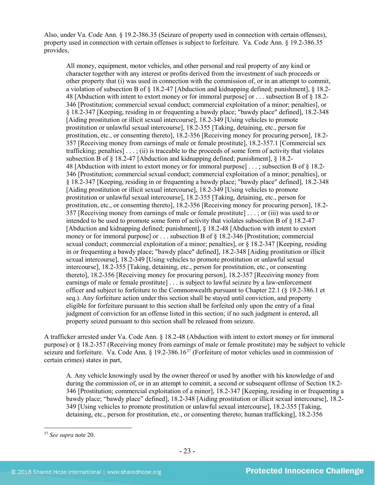Also, under Va. Code Ann. § 19.2-386.35 (Seizure of property used in connection with certain offenses), property used in connection with certain offenses is subject to forfeiture. Va. Code Ann. § 19.2-386.35 provides,

All money, equipment, motor vehicles, and other personal and real property of any kind or character together with any interest or profits derived from the investment of such proceeds or other property that (i) was used in connection with the commission of, or in an attempt to commit, a violation of subsection B of § 18.2-47 [Abduction and kidnapping defined; punishment], § 18.2- 48 [Abduction with intent to extort money or for immoral purpose] or . . . subsection B of § 18.2- 346 [Prostitution; commercial sexual conduct; commercial exploitation of a minor; penalties], or § 18.2-347 [Keeping, residing in or frequenting a bawdy place; "bawdy place" defined], [18.2-348](http://lis.virginia.gov/cgi-bin/legp604.exe?000+cod+18.2-348) [Aiding prostitution or illicit sexual intercourse], 18.2-349 [Using vehicles to promote prostitution or unlawful sexual intercourse], 18.2-355 [Taking, detaining, etc., person for prostitution, etc., or consenting thereto], 18.2-356 [Receiving money for procuring person], 18.2- 357 [Receiving money from earnings of male or female prostitute], 18.2-357.1 [Commercial sex trafficking; penalties  $\cdots$ ; (ii) is traceable to the proceeds of some form of activity that violates subsection B of § 18.2-47 [Abduction and kidnapping defined; punishment], § 18.2- 48 [Abduction with intent to extort money or for immoral purpose] . . . ; subsection B of § 18.2- 346 [Prostitution; commercial sexual conduct; commercial exploitation of a minor; penalties], or § 18.2-347 [Keeping, residing in or frequenting a bawdy place; "bawdy place" defined], 18.2-348 [Aiding prostitution or illicit sexual intercourse], 18.2-349 [Using vehicles to promote prostitution or unlawful sexual intercourse], 18.2-355 [Taking, detaining, etc., person for prostitution, etc., or consenting thereto], 18.2-356 [Receiving money for procuring person], [18.2-](http://lis.virginia.gov/cgi-bin/legp604.exe?000+cod+18.2-357) [357](http://lis.virginia.gov/cgi-bin/legp604.exe?000+cod+18.2-357) [Receiving money from earnings of male or female prostitute] [. . . ;](http://lis.virginia.gov/cgi-bin/legp604.exe?000+cod+40.1-29) or (iii) was used to or intended to be used to promote some form of activity that violates subsection B of § 18.2-47 [Abduction and kidnapping defined; punishment], § 18.2-48 [Abduction with intent to extort money or for immoral purpose] or . . . subsection B of § 18.2-346 [Prostitution; commercial sexual conduct; commercial exploitation of a minor; penalties], or § 18.2-347 [Keeping, residing in or frequenting a bawdy place; "bawdy place" defined], 18.2-348 [Aiding prostitution or illicit sexual intercourse], 18.2-349 [Using vehicles to promote prostitution or unlawful sexual intercourse], 18.2-355 [Taking, detaining, etc., person for prostitution, etc., or consenting thereto], 18.2-356 [Receiving money for procuring person], 18.2-357 [Receiving money from earnings of male or female prostitute] . . . is subject to lawful seizure by a law-enforcement officer and subject to forfeiture to the Commonwealth pursuant to Chapter 22.1 (§ 19.2-386.1 et seq.). Any forfeiture action under this section shall be stayed until conviction, and property eligible for forfeiture pursuant to this section shall be forfeited only upon the entry of a final judgment of conviction for an offense listed in this section; if no such judgment is entered, all property seized pursuant to this section shall be released from seizure.

A trafficker arrested under Va. Code Ann. § 18.2-48 (Abduction with intent to extort money or for immoral purpose) or § 18.2-357 (Receiving money from earnings of male or female prostitute) may be subject to vehicle seizure and forfeiture. Va. Code Ann. § 19.2-386.16<sup>[37](#page-22-0)</sup> (Forfeiture of motor vehicles used in commission of certain crimes) states in part,

A. Any vehicle knowingly used by the owner thereof or used by another with his knowledge of and during the commission of, or in an attempt to commit, a second or subsequent offense of Section 18.2- 346 [Prostitution; commercial exploitation of a minor], 18.2-347 [Keeping, residing in or frequenting a bawdy place; "bawdy place" defined], 18.2-348 [Aiding prostitution or illicit sexual intercourse], 18.2- 349 [Using vehicles to promote prostitution or unlawful sexual intercourse], 18.2-355 [Taking, detaining, etc., person for prostitution, etc., or consenting thereto; human trafficking], 18.2-356

<span id="page-22-0"></span> <sup>37</sup> *See supra* note [20.](#page-14-5)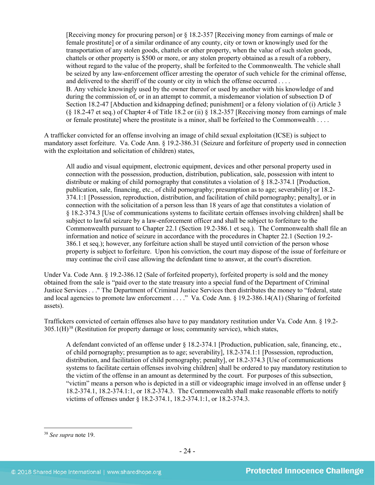[Receiving money for procuring person] or § 18.2-357 [Receiving money from earnings of male or female prostitute] or of a similar ordinance of any county, city or town or knowingly used for the transportation of any stolen goods, chattels or other property, when the value of such stolen goods, chattels or other property is \$500 or more, or any stolen property obtained as a result of a robbery, without regard to the value of the property, shall be forfeited to the Commonwealth. The vehicle shall be seized by any law-enforcement officer arresting the operator of such vehicle for the criminal offense, and delivered to the sheriff of the county or city in which the offense occurred .... B. Any vehicle knowingly used by the owner thereof or used by another with his knowledge of and during the commission of, or in an attempt to commit, a misdemeanor violation of subsection D of Section 18.2-47 [Abduction and kidnapping defined; punishment] or a felony violation of (i) Article 3  $(\S 18.2-47 \text{ et seq.})$  of Chapter 4 of Title 18.2 or (ii)  $\S 18.2-357$  [Receiving money from earnings of male or female prostitute] where the prostitute is a minor, shall be forfeited to the Commonwealth . . . .

A trafficker convicted for an offense involving an image of child sexual exploitation (ICSE) is subject to mandatory asset forfeiture. Va. Code Ann. § 19.2-386.31 (Seizure and forfeiture of property used in connection with the exploitation and solicitation of children) states,

All audio and visual equipment, electronic equipment, devices and other personal property used in connection with the possession, production, distribution, publication, sale, possession with intent to distribute or making of child pornography that constitutes a violation of  $\S 18.2-374.1$  [Production, publication, sale, financing, etc., of child pornography; presumption as to age; severability] or 18.2- 374.1:1 [Possession, reproduction, distribution, and facilitation of child pornography; penalty], or in connection with the solicitation of a person less than 18 years of age that constitutes a violation of § 18.2-374.3 [Use of communications systems to facilitate certain offenses involving children] shall be subject to lawful seizure by a law-enforcement officer and shall be subject to forfeiture to the Commonwealth pursuant to Chapter 22.1 (Section 19.2-386.1 et seq.). The Commonwealth shall file an information and notice of seizure in accordance with the procedures in Chapter 22.1 (Section 19.2- 386.1 et seq.); however, any forfeiture action shall be stayed until conviction of the person whose property is subject to forfeiture. Upon his conviction, the court may dispose of the issue of forfeiture or may continue the civil case allowing the defendant time to answer, at the court's discretion.

Under Va. Code Ann. § 19.2-386.12 (Sale of forfeited property), forfeited property is sold and the money obtained from the sale is "paid over to the state treasury into a special fund of the Department of Criminal Justice Services . . ." The Department of Criminal Justice Services then distributes the money to "federal, state and local agencies to promote law enforcement . . . ." Va. Code Ann. § 19.2-386.14(A1) (Sharing of forfeited assets).

Traffickers convicted of certain offenses also have to pay mandatory restitution under Va. Code Ann. § 19.2-  $305.1(H)^{38}$  $305.1(H)^{38}$  $305.1(H)^{38}$  (Restitution for property damage or loss; community service), which states,

A defendant convicted of an offense under § 18.2-374.1 [Production, publication, sale, financing, etc., of child pornography; presumption as to age; severability], 18.2-374.1:1 [Possession, reproduction, distribution, and facilitation of child pornography; penalty], or 18.2-374.3 [Use of communications systems to facilitate certain offenses involving children] shall be ordered to pay mandatory restitution to the victim of the offense in an amount as determined by the court. For purposes of this subsection, "victim" means a person who is depicted in a still or videographic image involved in an offense under § 18.2-374.1, 18.2-374.1:1, or 18.2-374.3. The Commonwealth shall make reasonable efforts to notify victims of offenses under § 18.2-374.1, 18.2-374.1:1, or 18.2-374.3.

<span id="page-23-0"></span> <sup>38</sup> *See supra* note [19.](#page-12-2)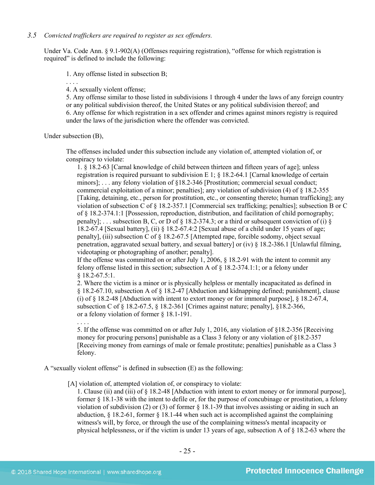## *3.5 Convicted traffickers are required to register as sex offenders.*

Under Va. Code Ann. § 9.1-902(A) (Offenses requiring registration), "offense for which registration is required" is defined to include the following:

1. Any offense listed in subsection B;

4. A sexually violent offense;

5. Any offense similar to those listed in subdivisions 1 through 4 under the laws of any foreign country or any political subdivision thereof, the United States or any political subdivision thereof; and 6. Any offense for which registration in a sex offender and crimes against minors registry is required under the laws of the jurisdiction where the offender was convicted.

Under subsection (B),

. . . .

The offenses included under this subsection include any violation of, attempted violation of, or conspiracy to violate:

1. § 18.2-63 [Carnal knowledge of child between thirteen and fifteen years of age]; unless registration is required pursuant to subdivision E 1; § 18.2-64.1 [Carnal knowledge of certain minors]; . . . any felony violation of §18.2-346 [Prostitution; commercial sexual conduct; commercial exploitation of a minor; penalties]; any violation of subdivision (4) of § 18.2-355 [Taking, detaining, etc., person for prostitution, etc., or consenting thereto; human trafficking]; any violation of subsection C of § 18.2-357.1 [Commercial sex trafficking; penalties]; subsection B or C of § 18.2-374.1:1 [Possession, reproduction, distribution, and facilitation of child pornography; penalty]; ... subsection B, C, or D of § 18.2-374.3; or a third or subsequent conviction of (i) § 18.2-67.4 [Sexual battery], (ii) § 18.2-67.4:2 [Sexual abuse of a child under 15 years of age; penalty], (iii) subsection C of § 18.2-67.5 [Attempted rape, forcible sodomy, object sexual penetration, aggravated sexual battery, and sexual battery] or (iv) § 18.2-386.1 [Unlawful filming, videotaping or photographing of another; penalty].

If the offense was committed on or after July 1, 2006, § 18.2-91 with the intent to commit any felony offense listed in this section; subsection A of  $\S 18.2-374.1:1$ ; or a felony under § 18.2-67.5:1.

2. Where the victim is a minor or is physically helpless or mentally incapacitated as defined in § 18.2-67.10, subsection A of § 18.2-47 [Abduction and kidnapping defined; punishment], clause (i) of § 18.2-48 [Abduction with intent to extort money or for immoral purpose], § 18.2-67.4, subsection C of § 18.2-67.5, § 18.2-361 [Crimes against nature; penalty], §18.2-366, or a felony violation of former § 18.1-191.

. . . . 5. If the offense was committed on or after July 1, 2016, any violation of §18.2-356 [Receiving money for procuring persons] punishable as a Class 3 felony or any violation of §18.2-357 [Receiving money from earnings of male or female prostitute; penalties] punishable as a Class 3 felony.

A "sexually violent offense" is defined in subsection (E) as the following:

[A] violation of, attempted violation of, or conspiracy to violate:

1. Clause (ii) and (iii) of § 18.2-48 [Abduction with intent to extort money or for immoral purpose], former § 18.1-38 with the intent to defile or, for the purpose of concubinage or prostitution, a felony violation of subdivision (2) or (3) of former § 18.1-39 that involves assisting or aiding in such an abduction,  $\S$  18.2-61, former  $\S$  18.1-44 when such act is accomplished against the complaining witness's will, by force, or through the use of the complaining witness's mental incapacity or physical helplessness, or if the victim is under 13 years of age, subsection A of § 18.2-63 where the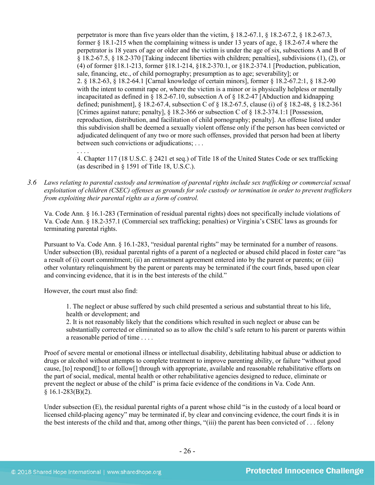perpetrator is more than five years older than the victim, § 18.2-67.1, § 18.2-67.2, § 18.2-67.3, former § 18.1-215 when the complaining witness is under 13 years of age, § 18.2-67.4 where the perpetrator is 18 years of age or older and the victim is under the age of six, subsections A and B of § 18.2-67.5, § 18.2-370 [Taking indecent liberties with children; penalties], subdivisions (1), (2), or (4) of former §18.1-213, former §18.1-214, §18.2-370.1, or §18.2-374.1 [Production, publication, sale, financing, etc., of child pornography; presumption as to age; severability]; or 2. § 18.2-63, § 18.2-64.1 [Carnal knowledge of certain minors], former § 18.2-67.2:1, § 18.2-90 with the intent to commit rape or, where the victim is a minor or is physically helpless or mentally incapacitated as defined in § 18.2-67.10, subsection A of § 18.2-47 [Abduction and kidnapping defined; punishment], § 18.2-67.4, subsection C of § 18.2-67.5, clause (i) of § 18.2-48, § 18.2-361 [Crimes against nature; penalty], § 18.2-366 or subsection C of § 18.2-374.1:1 [Possession, reproduction, distribution, and facilitation of child pornography; penalty]. An offense listed under this subdivision shall be deemed a sexually violent offense only if the person has been convicted or adjudicated delinquent of any two or more such offenses, provided that person had been at liberty between such convictions or adjudications; . . .

4. Chapter 117 (18 U.S.C. § 2421 et seq.) of Title 18 of the United States Code or sex trafficking (as described in § 1591 of Title 18, U.S.C.).

*3.6 Laws relating to parental custody and termination of parental rights include sex trafficking or commercial sexual exploitation of children (CSEC) offenses as grounds for sole custody or termination in order to prevent traffickers from exploiting their parental rights as a form of control.* 

Va. Code Ann. § 16.1-283 (Termination of residual parental rights) does not specifically include violations of Va. Code Ann. § 18.2-357.1 (Commercial sex trafficking; penalties) or Virginia's CSEC laws as grounds for terminating parental rights.

Pursuant to Va. Code Ann. § 16.1-283, "residual parental rights" may be terminated for a number of reasons. Under subsection (B), residual parental rights of a parent of a neglected or abused child placed in foster care "as a result of (i) court commitment; (ii) an entrustment agreement entered into by the parent or parents; or (iii) other voluntary relinquishment by the parent or parents may be terminated if the court finds, based upon clear and convincing evidence, that it is in the best interests of the child."

However, the court must also find:

. . . .

1. The neglect or abuse suffered by such child presented a serious and substantial threat to his life, health or development; and

2. It is not reasonably likely that the conditions which resulted in such neglect or abuse can be substantially corrected or eliminated so as to allow the child's safe return to his parent or parents within a reasonable period of time . . . .

Proof of severe mental or emotional illness or intellectual disability, debilitating habitual abuse or addiction to drugs or alcohol without attempts to complete treatment to improve parenting ability, or failure "without good cause, [to] respond[] to or follow[] through with appropriate, available and reasonable rehabilitative efforts on the part of social, medical, mental health or other rehabilitative agencies designed to reduce, eliminate or prevent the neglect or abuse of the child" is prima facie evidence of the conditions in Va. Code Ann.  $§ 16.1-283(B)(2).$ 

Under subsection (E), the residual parental rights of a parent whose child "is in the custody of a local board or licensed child-placing agency" may be terminated if, by clear and convincing evidence, the court finds it is in the best interests of the child and that, among other things, "(iii) the parent has been convicted of . . . felony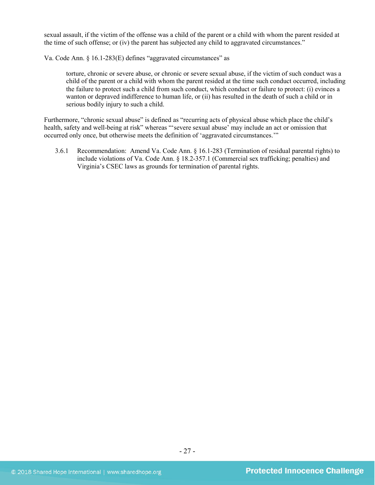sexual assault, if the victim of the offense was a child of the parent or a child with whom the parent resided at the time of such offense; or (iv) the parent has subjected any child to aggravated circumstances."

Va. Code Ann. § 16.1-283(E) defines "aggravated circumstances" as

torture, chronic or severe abuse, or chronic or severe sexual abuse, if the victim of such conduct was a child of the parent or a child with whom the parent resided at the time such conduct occurred, including the failure to protect such a child from such conduct, which conduct or failure to protect: (i) evinces a wanton or depraved indifference to human life, or (ii) has resulted in the death of such a child or in serious bodily injury to such a child.

Furthermore, "chronic sexual abuse" is defined as "recurring acts of physical abuse which place the child's health, safety and well-being at risk" whereas "severe sexual abuse' may include an act or omission that occurred only once, but otherwise meets the definition of 'aggravated circumstances.'"

3.6.1 Recommendation: Amend Va. Code Ann. § 16.1-283 (Termination of residual parental rights) to include violations of Va. Code Ann. § 18.2-357.1 (Commercial sex trafficking; penalties) and Virginia's CSEC laws as grounds for termination of parental rights.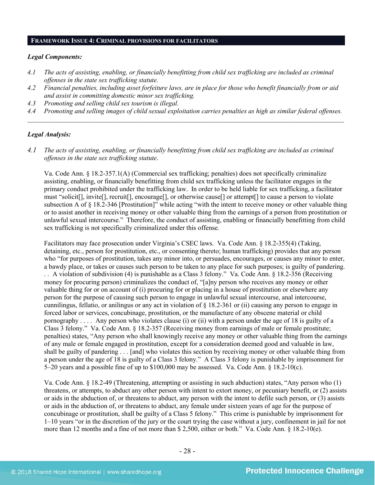# **FRAMEWORK ISSUE 4: CRIMINAL PROVISIONS FOR FACILITATORS**

#### *Legal Components:*

- *4.1 The acts of assisting, enabling, or financially benefitting from child sex trafficking are included as criminal offenses in the state sex trafficking statute.*
- *4.2 Financial penalties, including asset forfeiture laws, are in place for those who benefit financially from or aid and assist in committing domestic minor sex trafficking.*
- *4.3 Promoting and selling child sex tourism is illegal.*
- *4.4 Promoting and selling images of child sexual exploitation carries penalties as high as similar federal offenses. \_\_\_\_\_\_\_\_\_\_\_\_\_\_\_\_\_\_\_\_\_\_\_\_\_\_\_\_\_\_\_\_\_\_\_\_\_\_\_\_\_\_\_\_\_\_\_\_\_\_\_\_\_\_\_\_\_\_\_\_\_\_\_\_\_\_\_\_\_\_\_\_\_\_\_\_\_\_\_\_\_\_\_\_\_\_\_\_\_\_\_\_\_\_*

#### *Legal Analysis:*

*4.1 The acts of assisting, enabling, or financially benefitting from child sex trafficking are included as criminal offenses in the state sex trafficking statute*.

Va. Code Ann. § 18.2-357.1(A) (Commercial sex trafficking; penalties) does not specifically criminalize assisting, enabling, or financially benefitting from child sex trafficking unless the facilitator engages in the primary conduct prohibited under the trafficking law. In order to be held liable for sex trafficking, a facilitator must "solicit[], invite[], recruit[], encourage[], or otherwise cause[] or attempt[] to cause a person to violate subsection A of § 18.2-346 [Prostitution]" while acting "with the intent to receive money or other valuable thing or to assist another in receiving money or other valuable thing from the earnings of a person from prostitution or unlawful sexual intercourse." Therefore, the conduct of assisting, enabling or financially benefitting from child sex trafficking is not specifically criminalized under this offense.

Facilitators may face prosecution under Virginia's CSEC laws. Va. Code Ann. § 18.2-355(4) (Taking, detaining, etc., person for prostitution, etc., or consenting thereto; human trafficking) provides that any person who "for purposes of prostitution, takes any minor into, or persuades, encourages, or causes any minor to enter, a bawdy place, or takes or causes such person to be taken to any place for such purposes; is guilty of pandering. . . A violation of subdivision (4) is punishable as a Class 3 felony." Va. Code Ann. § 18.2-356 (Receiving money for procuring person) criminalizes the conduct of, "[a]ny person who receives any money or other valuable thing for or on account of (i) procuring for or placing in a house of prostitution or elsewhere any person for the purpose of causing such person to engage in unlawful sexual intercourse, anal intercourse, cunnilingus, fellatio, or anilingus or any act in violation of § 18.2-361 or (ii) causing any person to engage in forced labor or services, concubinage, prostitution, or the manufacture of any obscene material or child pornography . . . . Any person who violates clause (i) or (ii) with a person under the age of 18 is guilty of a Class 3 felony." Va. Code Ann. § 18.2-357 (Receiving money from earnings of male or female prostitute; penalties) states, "Any person who shall knowingly receive any money or other valuable thing from the earnings of any male or female engaged in prostitution, except for a consideration deemed good and valuable in law, shall be guilty of pandering . . . [and] who violates this section by receiving money or other valuable thing from a person under the age of 18 is guilty of a Class 3 felony." A Class 3 felony is punishable by imprisonment for 5–20 years and a possible fine of up to \$100,000 may be assessed. Va. Code Ann. § 18.2-10(c).

Va. Code Ann. § 18.2-49 (Threatening, attempting or assisting in such abduction) states, "Any person who (1) threatens, or attempts, to abduct any other person with intent to extort money, or pecuniary benefit, or (2) assists or aids in the abduction of, or threatens to abduct, any person with the intent to defile such person, or (3) assists or aids in the abduction of, or threatens to abduct, any female under sixteen years of age for the purpose of concubinage or prostitution, shall be guilty of a Class 5 felony." This crime is punishable by imprisonment for 1–10 years "or in the discretion of the jury or the court trying the case without a jury, confinement in jail for not more than 12 months and a fine of not more than \$ 2,500, either or both." Va. Code Ann. § 18.2-10(e).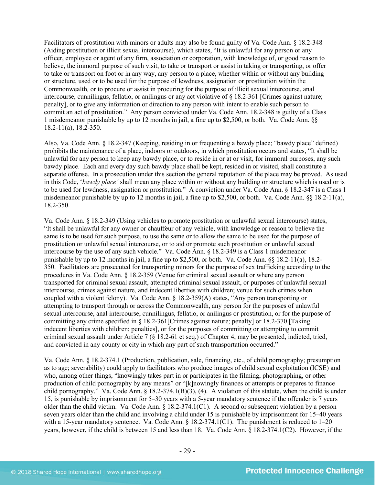Facilitators of prostitution with minors or adults may also be found guilty of Va. Code Ann. § 18.2-348 (Aiding prostitution or illicit sexual intercourse), which states, "It is unlawful for any person or any officer, employee or agent of any firm, association or corporation, with knowledge of, or good reason to believe, the immoral purpose of such visit, to take or transport or assist in taking or transporting, or offer to take or transport on foot or in any way, any person to a place, whether within or without any building or structure, used or to be used for the purpose of lewdness, assignation or prostitution within the Commonwealth*,* or to procure or assist in procuring for the purpose of illicit sexual intercourse, anal intercourse, cunnilingus, fellatio, or anilingus or any act violative of § 18.2-361 [Crimes against nature; penalty], or to give any information or direction to any person with intent to enable such person to commit an act of prostitution." Any person convicted under Va. Code Ann. 18.2-348 is guilty of a Class 1 misdemeanor punishable by up to 12 months in jail, a fine up to \$2,500, or both. Va. Code Ann. §§ 18.2-11(a), 18.2-350.

Also, Va. Code Ann. § 18.2-347 (Keeping, residing in or frequenting a bawdy place; "bawdy place" defined) prohibits the maintenance of a place, indoors or outdoors, in which prostitution occurs and states, "It shall be unlawful for any person to keep any bawdy place, or to reside in or at or visit, for immoral purposes, any such bawdy place. Each and every day such bawdy place shall be kept, resided in or visited, shall constitute a separate offense. In a prosecution under this section the general reputation of the place may be proved. As used in this Code, '*bawdy place'* shall mean any place within or without any building or structure which is used or is to be used for lewdness, assignation or prostitution." A conviction under Va. Code Ann. § 18.2-347 is a Class 1 misdemeanor punishable by up to 12 months in jail, a fine up to \$2,500, or both. Va. Code Ann.  $\S$ § 18.2-11(a), 18.2-350.

Va. Code Ann. § 18.2-349 (Using vehicles to promote prostitution or unlawful sexual intercourse) states, "It shall be unlawful for any owner or chauffeur of any vehicle, with knowledge or reason to believe the same is to be used for such purpose, to use the same or to allow the same to be used for the purpose of prostitution or unlawful sexual intercourse, or to aid or promote such prostitution or unlawful sexual intercourse by the use of any such vehicle." Va. Code Ann. § 18.2-349 is a Class 1 misdemeanor punishable by up to 12 months in jail, a fine up to \$2,500, or both. Va. Code Ann. §§ 18.2-11(a), 18.2- 350. Facilitators are prosecuted for transporting minors for the purpose of sex trafficking according to the procedures in Va. Code Ann. § 18.2-359 (Venue for criminal sexual assault or where any person transported for criminal sexual assault, attempted criminal sexual assault, or purposes of unlawful sexual intercourse, crimes against nature, and indecent liberties with children; venue for such crimes when coupled with a violent felony). Va. Code Ann. § 18.2-359(A) states, "Any person transporting or attempting to transport through or across the Commonwealth, any person for the purposes of unlawful sexual intercourse, anal intercourse, cunnilingus, fellatio, or anilingus or prostitution, or for the purpose of committing any crime specified in § 18.2-361[Crimes against nature; penalty] or 18.2-370 [Taking indecent liberties with children; penalties], or for the purposes of committing or attempting to commit criminal sexual assault under Article 7 (§ 18.2-61 et seq.) of Chapter 4, may be presented, indicted, tried, and convicted in any county or city in which any part of such transportation occurred."

Va. Code Ann. § 18.2-374.1 (Production, publication, sale, financing, etc., of child pornography; presumption as to age; severability) could apply to facilitators who produce images of child sexual exploitation (ICSE) and who, among other things, "knowingly takes part in or participates in the filming, photographing, or other production of child pornography by any means" or "[k]nowingly finances or attempts or prepares to finance child pornography." Va. Code Ann. § 18.2-374.1(B)(3), (4). A violation of this statute, when the child is under 15, is punishable by imprisonment for 5–30 years with a 5-year mandatory sentence if the offender is 7 years older than the child victim. Va. Code Ann. § 18.2-374.1(C1). A second or subsequent violation by a person seven years older than the child and involving a child under 15 is punishable by imprisonment for 15–40 years with a 15-year mandatory sentence. Va. Code Ann. § 18.2-374.1(C1). The punishment is reduced to 1–20 years, however, if the child is between 15 and less than 18. Va. Code Ann. § 18.2-374.1(C2). However, if the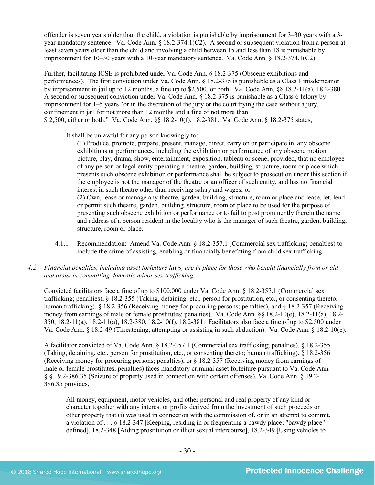offender is seven years older than the child, a violation is punishable by imprisonment for 3–30 years with a 3 year mandatory sentence. Va. Code Ann. § 18.2-374.1(C2). A second or subsequent violation from a person at least seven years older than the child and involving a child between 15 and less than 18 is punishable by imprisonment for 10–30 years with a 10-year mandatory sentence. Va. Code Ann. § 18.2-374.1(C2).

Further, facilitating ICSE is prohibited under Va. Code Ann. § 18.2-375 (Obscene exhibitions and performances). The first conviction under Va. Code Ann. § 18.2-375 is punishable as a Class 1 misdemeanor by imprisonment in jail up to 12 months, a fine up to \$2,500, or both. Va. Code Ann. §§ 18.2-11(a), 18.2-380. A second or subsequent conviction under Va. Code Ann. § 18.2-375 is punishable as a Class 6 felony by imprisonment for 1–5 years "or in the discretion of the jury or the court trying the case without a jury, confinement in jail for not more than 12 months and a fine of not more than \$ 2,500, either or both." Va. Code Ann. §§ 18.2-10(f), 18.2-381. Va. Code Ann. § 18.2-375 states,

It shall be unlawful for any person knowingly to:

(1) Produce, promote, prepare, present, manage, direct, carry on or participate in, any obscene exhibitions or performances, including the exhibition or performance of any obscene motion picture, play, drama, show, entertainment, exposition, tableau or scene; provided, that no employee of any person or legal entity operating a theatre, garden, building, structure, room or place which presents such obscene exhibition or performance shall be subject to prosecution under this section if the employee is not the manager of the theatre or an officer of such entity, and has no financial interest in such theatre other than receiving salary and wages; or (2) Own, lease or manage any theatre, garden, building, structure, room or place and lease, let, lend or permit such theatre, garden, building, structure, room or place to be used for the purpose of presenting such obscene exhibition or performance or to fail to post prominently therein the name and address of a person resident in the locality who is the manager of such theatre, garden, building, structure, room or place.

- 4.1.1 Recommendation: Amend Va. Code Ann. § 18.2-357.1 (Commercial sex trafficking; penalties) to include the crime of assisting, enabling or financially benefitting from child sex trafficking.
- *4.2 Financial penalties, including asset forfeiture laws, are in place for those who benefit financially from or aid and assist in committing domestic minor sex trafficking.*

Convicted facilitators face a fine of up to \$100,000 under Va. Code Ann. § 18.2-357.1 (Commercial sex trafficking; penalties), § 18.2-355 (Taking, detaining, etc., person for prostitution, etc., or consenting thereto; human trafficking), § 18.2-356 (Receiving money for procuring persons; penalties), and § 18.2-357 (Receiving money from earnings of male or female prostitutes; penalties). Va. Code Ann. §§ 18.2-10(e), 18.2-11(a), 18.2- 350, 18.2-11(a), 18.2-11(a), 18.2-380, 18.2-10(f), 18.2-381. Facilitators also face a fine of up to \$2,500 under Va. Code Ann. § 18.2-49 (Threatening, attempting or assisting in such abduction). Va. Code Ann. § 18.2-10(e).

A facilitator convicted of Va. Code Ann. § 18.2-357.1 (Commercial sex trafficking; penalties), § 18.2-355 (Taking, detaining, etc., person for prostitution, etc., or consenting thereto; human trafficking), § 18.2-356 (Receiving money for procuring persons; penalties), or § 18.2-357 (Receiving money from earnings of male or female prostitutes; penalties) faces mandatory criminal asset forfeiture pursuant to Va. Code Ann. § § 19.2-386.35 (Seizure of property used in connection with certain offenses). Va. Code Ann. § 19.2- 386.35 provides,

All money, equipment, motor vehicles, and other personal and real property of any kind or character together with any interest or profits derived from the investment of such proceeds or other property that (i) was used in connection with the commission of, or in an attempt to commit, a violation of . . . § 18.2-347 [Keeping, residing in or frequenting a bawdy place; "bawdy place" defined], [18.2-348](http://lis.virginia.gov/cgi-bin/legp604.exe?000+cod+18.2-348) [Aiding prostitution or illicit sexual intercourse], 18.2-349 [Using vehicles to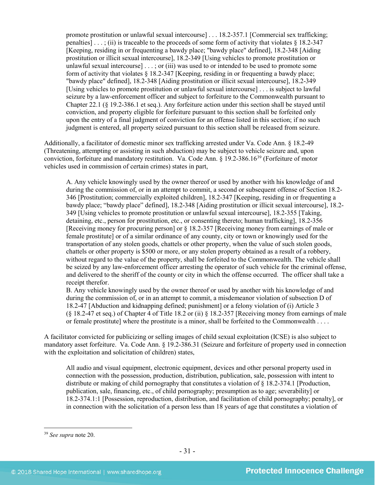promote prostitution or unlawful sexual intercourse] . . . 18.2-357.1 [Commercial sex trafficking; penalties]  $\ldots$ ; (ii) is traceable to the proceeds of some form of activity that violates  $\frac{8}{18.2}$ -347 [Keeping, residing in or frequenting a bawdy place; "bawdy place" defined], 18.2-348 [Aiding prostitution or illicit sexual intercourse], 18.2-349 [Using vehicles to promote prostitution or unlawful sexual intercourse] [. . . ;](http://lis.virginia.gov/cgi-bin/legp604.exe?000+cod+40.1-29) or (iii) was used to or intended to be used to promote some form of activity that violates  $\S 18.2 - 347$  [Keeping, residing in or frequenting a bawdy place; "bawdy place" defined], 18.2-348 [Aiding prostitution or illicit sexual intercourse], 18.2-349 [Using vehicles to promote prostitution or unlawful sexual intercourse] . . . is subject to lawful seizure by a law-enforcement officer and subject to forfeiture to the Commonwealth pursuant to Chapter 22.1 (§ 19.2-386.1 et seq.). Any forfeiture action under this section shall be stayed until conviction, and property eligible for forfeiture pursuant to this section shall be forfeited only upon the entry of a final judgment of conviction for an offense listed in this section; if no such judgment is entered, all property seized pursuant to this section shall be released from seizure.

Additionally, a facilitator of domestic minor sex trafficking arrested under Va. Code Ann. § 18.2-49 (Threatening, attempting or assisting in such abduction) may be subject to vehicle seizure and, upon conviction, forfeiture and mandatory restitution. Va. Code Ann. § 19.2-386.16[39](#page-30-0) (Forfeiture of motor vehicles used in commission of certain crimes) states in part,

A. Any vehicle knowingly used by the owner thereof or used by another with his knowledge of and during the commission of, or in an attempt to commit, a second or subsequent offense of Section 18.2- 346 [Prostitution; commercially exploited children], 18.2-347 [Keeping, residing in or frequenting a bawdy place; "bawdy place" defined], 18.2-348 [Aiding prostitution or illicit sexual intercourse], 18.2- 349 [Using vehicles to promote prostitution or unlawful sexual intercourse], 18.2-355 [Taking, detaining, etc., person for prostitution, etc., or consenting thereto; human trafficking], 18.2-356 [Receiving money for procuring person] or § 18.2-357 [Receiving money from earnings of male or female prostitute] or of a similar ordinance of any county, city or town or knowingly used for the transportation of any stolen goods, chattels or other property, when the value of such stolen goods, chattels or other property is \$500 or more, or any stolen property obtained as a result of a robbery, without regard to the value of the property, shall be forfeited to the Commonwealth. The vehicle shall be seized by any law-enforcement officer arresting the operator of such vehicle for the criminal offense, and delivered to the sheriff of the county or city in which the offense occurred. The officer shall take a receipt therefor.

B. Any vehicle knowingly used by the owner thereof or used by another with his knowledge of and during the commission of, or in an attempt to commit, a misdemeanor violation of subsection D of 18.2-47 [Abduction and kidnapping defined; punishment] or a felony violation of (i) Article 3  $(\S 18.2-47$  et seq.) of Chapter 4 of Title 18.2 or (ii)  $\S 18.2-357$  [Receiving money from earnings of male or female prostitute] where the prostitute is a minor, shall be forfeited to the Commonwealth . . . .

A facilitator convicted for publicizing or selling images of child sexual exploitation (ICSE) is also subject to mandatory asset forfeiture. Va. Code Ann. § 19.2-386.31 (Seizure and forfeiture of property used in connection with the exploitation and solicitation of children) states.

All audio and visual equipment, electronic equipment, devices and other personal property used in connection with the possession, production, distribution, publication, sale, possession with intent to distribute or making of child pornography that constitutes a violation of § 18.2-374.1 [Production, publication, sale, financing, etc., of child pornography; presumption as to age; severability] or 18.2-374.1:1 [Possession, reproduction, distribution, and facilitation of child pornography; penalty], or in connection with the solicitation of a person less than 18 years of age that constitutes a violation of

<span id="page-30-0"></span> <sup>39</sup> *See supra* note [20.](#page-14-5)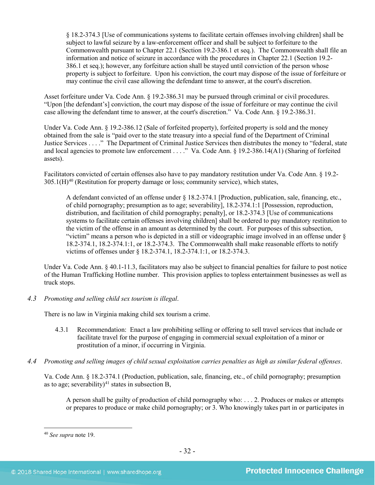§ 18.2-374.3 [Use of communications systems to facilitate certain offenses involving children] shall be subject to lawful seizure by a law-enforcement officer and shall be subject to forfeiture to the Commonwealth pursuant to Chapter 22.1 (Section 19.2-386.1 et seq.). The Commonwealth shall file an information and notice of seizure in accordance with the procedures in Chapter 22.1 (Section 19.2- 386.1 et seq.); however, any forfeiture action shall be stayed until conviction of the person whose property is subject to forfeiture. Upon his conviction, the court may dispose of the issue of forfeiture or may continue the civil case allowing the defendant time to answer, at the court's discretion.

Asset forfeiture under Va. Code Ann. § 19.2-386.31 may be pursued through criminal or civil procedures. "Upon [the defendant's] conviction, the court may dispose of the issue of forfeiture or may continue the civil case allowing the defendant time to answer, at the court's discretion." Va. Code Ann. § 19.2-386.31.

Under Va. Code Ann. § 19.2-386.12 (Sale of forfeited property), forfeited property is sold and the money obtained from the sale is "paid over to the state treasury into a special fund of the Department of Criminal Justice Services . . . ." The Department of Criminal Justice Services then distributes the money to "federal, state and local agencies to promote law enforcement . . . ." Va. Code Ann. § 19.2-386.14(A1) (Sharing of forfeited assets).

Facilitators convicted of certain offenses also have to pay mandatory restitution under Va. Code Ann. § 19.2-  $305.1\,(H)^{40}$  $305.1\,(H)^{40}$  $305.1\,(H)^{40}$  (Restitution for property damage or loss; community service), which states,

A defendant convicted of an offense under § 18.2-374.1 [Production, publication, sale, financing, etc., of child pornography; presumption as to age; severability], 18.2-374.1:1 [Possession, reproduction, distribution, and facilitation of child pornography; penalty], or 18.2-374.3 [Use of communications systems to facilitate certain offenses involving children] shall be ordered to pay mandatory restitution to the victim of the offense in an amount as determined by the court. For purposes of this subsection, "victim" means a person who is depicted in a still or videographic image involved in an offense under § 18.2-374.1, 18.2-374.1:1, or 18.2-374.3. The Commonwealth shall make reasonable efforts to notify victims of offenses under § 18.2-374.1, 18.2-374.1:1, or 18.2-374.3.

Under Va. Code Ann. § 40.1-11.3, facilitators may also be subject to financial penalties for failure to post notice of the Human Trafficking Hotline number. This provision applies to topless entertainment businesses as well as truck stops.

*4.3 Promoting and selling child sex tourism is illegal*.

There is no law in Virginia making child sex tourism a crime.

- 4.3.1 Recommendation: Enact a law prohibiting selling or offering to sell travel services that include or facilitate travel for the purpose of engaging in commercial sexual exploitation of a minor or prostitution of a minor, if occurring in Virginia.
- *4.4 Promoting and selling images of child sexual exploitation carries penalties as high as similar federal offenses*.

Va. Code Ann. § 18.2-374.1 (Production, publication, sale, financing, etc., of child pornography; presumption as to age; severability)<sup>[41](#page-31-0)</sup> states in subsection B,

A person shall be guilty of production of child pornography who: . . . 2. Produces or makes or attempts or prepares to produce or make child pornography; or 3. Who knowingly takes part in or participates in

<span id="page-31-0"></span> <sup>40</sup> *See supra* note [19.](#page-12-2)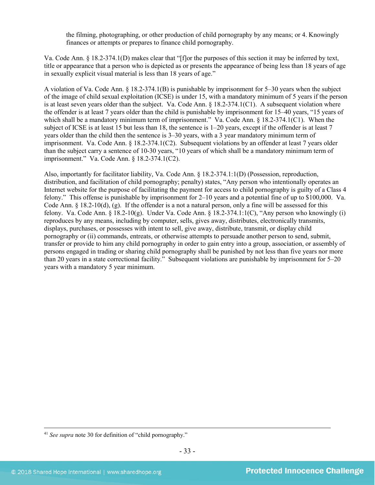the filming, photographing, or other production of child pornography by any means; or 4. Knowingly finances or attempts or prepares to finance child pornography.

Va. Code Ann. § 18.2-374.1(D) makes clear that "[f]or the purposes of this section it may be inferred by text, title or appearance that a person who is depicted as or presents the appearance of being less than 18 years of age in sexually explicit visual material is less than 18 years of age."

A violation of Va. Code Ann. § 18.2-374.1(B) is punishable by imprisonment for 5–30 years when the subject of the image of child sexual exploitation (ICSE) is under 15, with a mandatory minimum of 5 years if the person is at least seven years older than the subject. Va. Code Ann. § 18.2-374.1(C1). A subsequent violation where the offender is at least 7 years older than the child is punishable by imprisonment for 15–40 years, "15 years of which shall be a mandatory minimum term of imprisonment." Va. Code Ann. § 18.2-374.1(C1). When the subject of ICSE is at least 15 but less than 18, the sentence is 1–20 years, except if the offender is at least 7 years older than the child then the sentence is 3–30 years, with a 3 year mandatory minimum term of imprisonment. Va. Code Ann. § 18.2-374.1(C2). Subsequent violations by an offender at least 7 years older than the subject carry a sentence of 10-30 years, "10 years of which shall be a mandatory minimum term of imprisonment." Va. Code Ann. § 18.2-374.1(C2).

Also, importantly for facilitator liability, Va. Code Ann. § 18.2-374.1:1(D) (Possession, reproduction, distribution, and facilitation of child pornography; penalty) states, "Any person who intentionally operates an Internet website for the purpose of facilitating the payment for access to child pornography is guilty of a Class 4 felony." This offense is punishable by imprisonment for 2–10 years and a potential fine of up to \$100,000. Va. Code Ann.  $\S$  18.2-10(d), (g). If the offender is a not a natural person, only a fine will be assessed for this felony. Va. Code Ann. § 18.2-10(g). Under Va. Code Ann. § 18.2-374.1:1(C), "Any person who knowingly (i) reproduces by any means, including by computer, sells, gives away, distributes, electronically transmits, displays, purchases, or possesses with intent to sell, give away, distribute, transmit, or display child pornography or (ii) commands, entreats, or otherwise attempts to persuade another person to send, submit, transfer or provide to him any child pornography in order to gain entry into a group, association, or assembly of persons engaged in trading or sharing child pornography shall be punished by not less than five years nor more than 20 years in a state correctional facility." Subsequent violations are punishable by imprisonment for 5–20 years with a mandatory 5 year minimum.

 <sup>41</sup> *See supra* note [30](#page-19-2) for definition of "child pornography."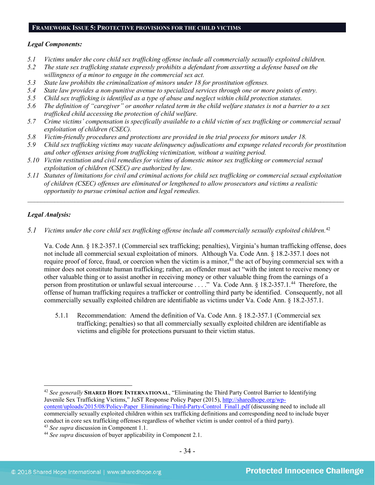#### **FRAMEWORK ISSUE 5: PROTECTIVE PROVISIONS FOR THE CHILD VICTIMS**

#### *Legal Components:*

- *5.1 Victims under the core child sex trafficking offense include all commercially sexually exploited children.*
- *5.2 The state sex trafficking statute expressly prohibits a defendant from asserting a defense based on the willingness of a minor to engage in the commercial sex act.*
- *5.3 State law prohibits the criminalization of minors under 18 for prostitution offenses.*
- *5.4 State law provides a non-punitive avenue to specialized services through one or more points of entry.*
- *5.5 Child sex trafficking is identified as a type of abuse and neglect within child protection statutes.*
- *5.6 The definition of "caregiver" or another related term in the child welfare statutes is not a barrier to a sex trafficked child accessing the protection of child welfare.*
- *5.7 Crime victims' compensation is specifically available to a child victim of sex trafficking or commercial sexual exploitation of children (CSEC).*
- *5.8 Victim-friendly procedures and protections are provided in the trial process for minors under 18.*
- *5.9 Child sex trafficking victims may vacate delinquency adjudications and expunge related records for prostitution and other offenses arising from trafficking victimization, without a waiting period.*
- *5.10 Victim restitution and civil remedies for victims of domestic minor sex trafficking or commercial sexual exploitation of children (CSEC) are authorized by law.*
- *5.11 Statutes of limitations for civil and criminal actions for child sex trafficking or commercial sexual exploitation of children (CSEC) offenses are eliminated or lengthened to allow prosecutors and victims a realistic opportunity to pursue criminal action and legal remedies.*

*\_\_\_\_\_\_\_\_\_\_\_\_\_\_\_\_\_\_\_\_\_\_\_\_\_\_\_\_\_\_\_\_\_\_\_\_\_\_\_\_\_\_\_\_\_\_\_\_\_\_\_\_\_\_\_\_\_\_\_\_\_\_\_\_\_\_\_\_\_\_\_\_\_\_\_\_\_\_\_\_\_\_\_\_\_\_\_\_\_\_\_\_\_\_*

# *Legal Analysis:*

*5.1 Victims under the core child sex trafficking offense include all commercially sexually exploited children.*[42](#page-33-0)

Va. Code Ann. § 18.2-357.1 (Commercial sex trafficking; penalties), Virginia's human trafficking offense, does not include all commercial sexual exploitation of minors. Although Va. Code Ann. § 18.2-357.1 does not require proof of force, fraud, or coercion when the victim is a minor,<sup>[43](#page-33-1)</sup> the act of buying commercial sex with a minor does not constitute human trafficking; rather, an offender must act "with the intent to receive money or other valuable thing or to assist another in receiving money or other valuable thing from the earnings of a person from prostitution or unlawful sexual intercourse . . . ." Va. Code Ann. § 18.2-357.1.[44](#page-33-2) Therefore, the offense of human trafficking requires a trafficker or controlling third party be identified. Consequently, not all commercially sexually exploited children are identifiable as victims under Va. Code Ann. § 18.2-357.1.

5.1.1 Recommendation: Amend the definition of Va. Code Ann. § 18.2-357.1 (Commercial sex trafficking; penalties) so that all commercially sexually exploited children are identifiable as victims and eligible for protections pursuant to their victim status.

<span id="page-33-0"></span> <sup>42</sup> *See generally* **SHARED HOPE INTERNATIONAL**, "Eliminating the Third Party Control Barrier to Identifying Juvenile Sex Trafficking Victims," JuST Response Policy Paper (2015), [http://sharedhope.org/wp](http://sharedhope.org/wp-content/uploads/2015/08/Policy-Paper_Eliminating-Third-Party-Control_Final1.pdf)[content/uploads/2015/08/Policy-Paper\\_Eliminating-Third-Party-Control\\_Final1.pdf](http://sharedhope.org/wp-content/uploads/2015/08/Policy-Paper_Eliminating-Third-Party-Control_Final1.pdf) (discussing need to include all commercially sexually exploited children within sex trafficking definitions and corresponding need to include buyer conduct in core sex trafficking offenses regardless of whether victim is under control of a third party).<br><sup>43</sup> See supra discussion in Component 1.1.

<span id="page-33-2"></span><span id="page-33-1"></span><sup>&</sup>lt;sup>44</sup> See supra discussion of buyer applicability in Component 2.1.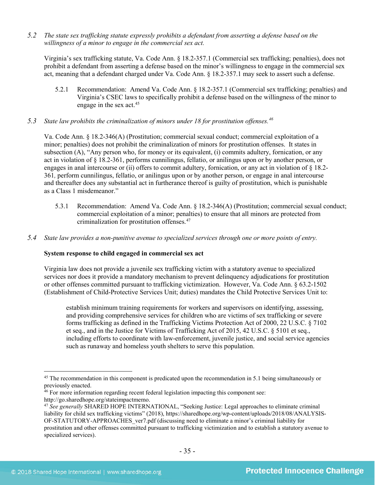*5.2 The state sex trafficking statute expressly prohibits a defendant from asserting a defense based on the willingness of a minor to engage in the commercial sex act.*

Virginia's sex trafficking statute, Va. Code Ann. § 18.2-357.1 (Commercial sex trafficking; penalties), does not prohibit a defendant from asserting a defense based on the minor's willingness to engage in the commercial sex act, meaning that a defendant charged under Va. Code Ann. § 18.2-357.1 may seek to assert such a defense.

- 5.2.1 Recommendation: Amend Va. Code Ann. § 18.2-357.1 (Commercial sex trafficking; penalties) and Virginia's CSEC laws to specifically prohibit a defense based on the willingness of the minor to engage in the sex act. [45](#page-34-0)
- *5.3 State law prohibits the criminalization of minors under 18 for prostitution offenses.[46](#page-34-1)*

Va. Code Ann. § 18.2-346(A) (Prostitution; commercial sexual conduct; commercial exploitation of a minor; penalties) does not prohibit the criminalization of minors for prostitution offenses. It states in subsection (A), "Any person who, for money or its equivalent, (i) commits adultery, fornication, or any act in violation of § 18.2-361, performs cunnilingus, fellatio, or anilingus upon or by another person, or engages in anal intercourse or (ii) offers to commit adultery, fornication, or any act in violation of § 18.2- 361*,* perform cunnilingus, fellatio, or anilingus upon or by another person, or engage in anal intercourse and thereafter does any substantial act in furtherance thereof is guilty of prostitution, which is punishable as a Class 1 misdemeanor."

- 5.3.1 Recommendation: Amend Va. Code Ann. § 18.2-346(A) (Prostitution; commercial sexual conduct; commercial exploitation of a minor; penalties) to ensure that all minors are protected from criminalization for prostitution offenses.[47](#page-34-2)
- *5.4 State law provides a non-punitive avenue to specialized services through one or more points of entry.*

# **System response to child engaged in commercial sex act**

Virginia law does not provide a juvenile sex trafficking victim with a statutory avenue to specialized services nor does it provide a mandatory mechanism to prevent delinquency adjudications for prostitution or other offenses committed pursuant to trafficking victimization. However, Va. Code Ann. § 63.2-1502 (Establishment of Child-Protective Services Unit; duties) mandates the Child Protective Services Unit to:

establish minimum training requirements for workers and supervisors on identifying, assessing, and providing comprehensive services for children who are victims of sex trafficking or severe forms trafficking as defined in the Trafficking Victims Protection Act of 2000, 22 U.S.C. § 7102 et seq., and in the Justice for Victims of Trafficking Act of 2015, 42 U.S.C. § 5101 et seq., including efforts to coordinate with law-enforcement, juvenile justice, and social service agencies such as runaway and homeless youth shelters to serve this population.

<span id="page-34-0"></span><sup>&</sup>lt;sup>45</sup> The recommendation in this component is predicated upon the recommendation in 5.1 being simultaneously or previously enacted.

<span id="page-34-1"></span><sup>&</sup>lt;sup>46</sup> For more information regarding recent federal legislation impacting this component see: http://go.sharedhope.org/stateimpactmemo.

<span id="page-34-2"></span><sup>47</sup> *See generally* SHARED HOPE INTERNATIONAL, "Seeking Justice: Legal approaches to eliminate criminal liability for child sex trafficking victims" (2018), https://sharedhope.org/wp-content/uploads/2018/08/ANALYSIS-OF-STATUTORY-APPROACHES\_ver7.pdf (discussing need to eliminate a minor's criminal liability for prostitution and other offenses committed pursuant to trafficking victimization and to establish a statutory avenue to specialized services).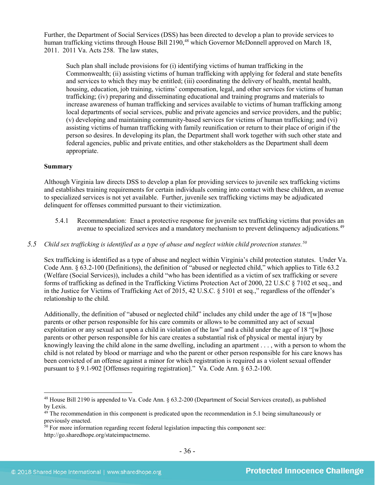Further, the Department of Social Services (DSS) has been directed to develop a plan to provide services to human trafficking victims through House Bill 2190,<sup>48</sup> which Governor McDonnell approved on March 18, 2011. 2011 Va. Acts 258. The law states,

Such plan shall include provisions for (i) identifying victims of human trafficking in the Commonwealth; (ii) assisting victims of human trafficking with applying for federal and state benefits and services to which they may be entitled; (iii) coordinating the delivery of health, mental health, housing, education, job training, victims' compensation, legal, and other services for victims of human trafficking; (iv) preparing and disseminating educational and training programs and materials to increase awareness of human trafficking and services available to victims of human trafficking among local departments of social services, public and private agencies and service providers, and the public; (v) developing and maintaining community-based services for victims of human trafficking; and (vi) assisting victims of human trafficking with family reunification or return to their place of origin if the person so desires. In developing its plan, the Department shall work together with such other state and federal agencies, public and private entities, and other stakeholders as the Department shall deem appropriate.

# **Summary**

Although Virginia law directs DSS to develop a plan for providing services to juvenile sex trafficking victims and establishes training requirements for certain individuals coming into contact with these children, an avenue to specialized services is not yet available. Further, juvenile sex trafficking victims may be adjudicated delinquent for offenses committed pursuant to their victimization.

- 5.4.1 Recommendation: Enact a protective response for juvenile sex trafficking victims that provides an avenue to specialized services and a mandatory mechanism to prevent delinquency adjudications.<sup>[49](#page-35-1)</sup>
- *5.5 Child sex trafficking is identified as a type of abuse and neglect within child protection statutes.[50](#page-35-2)*

Sex trafficking is identified as a type of abuse and neglect within Virginia's child protection statutes. Under Va. Code Ann. § 63.2-100 (Definitions), the definition of "abused or neglected child," which applies to Title 63.2 (Welfare (Social Services)), includes a child "who has been identified as a victim of sex trafficking or severe forms of trafficking as defined in the Trafficking Victims Protection Act of 2000, 22 U.S.C § 7102 et seq., and in the Justice for Victims of Trafficking Act of 2015, 42 U.S.C. § 5101 et seq.," regardless of the offender's relationship to the child.

Additionally, the definition of "abused or neglected child" includes any child under the age of 18 "[w]hose parents or other person responsible for his care commits or allows to be committed any act of sexual exploitation or any sexual act upon a child in violation of the law" and a child under the age of 18 "[w]hose parents or other person responsible for his care creates a substantial risk of physical or mental injury by knowingly leaving the child alone in the same dwelling, including an apartment . . . , with a person to whom the child is not related by blood or marriage and who the parent or other person responsible for his care knows has been convicted of an offense against a minor for which registration is required as a violent sexual offender pursuant to § 9.1-902 [Offenses requiring registration]." Va. Code Ann. § 63.2-100.

<span id="page-35-0"></span> <sup>48</sup> House Bill 2190 is appended to Va. Code Ann. § 63.2-200 (Department of Social Services created), as published by Lexis.

<span id="page-35-1"></span> $49$  The recommendation in this component is predicated upon the recommendation in 5.1 being simultaneously or previously enacted.

<span id="page-35-2"></span> $50$  For more information regarding recent federal legislation impacting this component see: http://go.sharedhope.org/stateimpactmemo.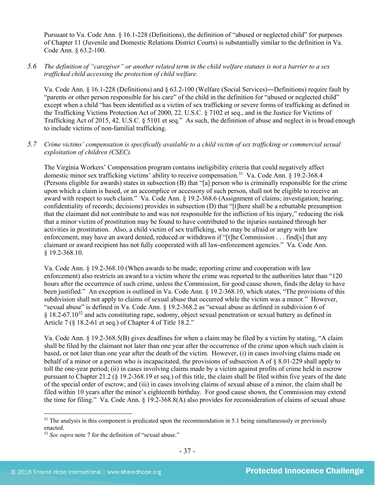Pursuant to Va. Code Ann. § 16.1-228 (Definitions), the definition of "abused or neglected child" for purposes of Chapter 11 (Juvenile and Domestic Relations District Courts) is substantially similar to the definition in Va. Code Ann. § 63.2-100.

*5.6 The definition of "caregiver" or another related term in the child welfare statutes is not a barrier to a sex trafficked child accessing the protection of child welfare.*

Va. Code Ann. § 16.1-228 (Definitions) and § 63.2-100 (Welfare (Social Services)―Definitions) require fault by "parents or other person responsible for his care" of the child in the definition for "abused or neglected child" except when a child "has been identified as a victim of sex trafficking or severe forms of trafficking as defined in the Trafficking Victims Protection Act of 2000, 22. U.S.C. § 7102 et seq., and in the Justice for Victims of Trafficking Act of 2015, 42. U.S.C. § 5101 et seq." As such, the definition of abuse and neglect in is broad enough to include victims of non-familial trafficking.

# *5.7 Crime victims' compensation is specifically available to a child victim of sex trafficking or commercial sexual exploitation of children (CSEC).*

The Virginia Workers' Compensation program contains ineligibility criteria that could negatively affect domestic minor sex trafficking victims' ability to receive compensation.<sup>51</sup> Va. Code Ann. § 19.2-368.4 (Persons eligible for awards) states in subsection (B) that "[a] person who is criminally responsible for the crime upon which a claim is based, or an accomplice or accessory of such person, shall not be eligible to receive an award with respect to such claim." Va. Code Ann. § 19.2-368.6 (Assignment of claims; investigation; hearing; confidentiality of records; decisions) provides in subsection (D) that "[t]here shall be a rebuttable presumption that the claimant did not contribute to and was not responsible for the infliction of his injury," reducing the risk that a minor victim of prostitution may be found to have contributed to the injuries sustained through her activities in prostitution. Also, a child victim of sex trafficking, who may be afraid or angry with law enforcement, may have an award denied, reduced or withdrawn if "[t]he Commission . . . find[s] that any claimant or award recipient has not fully cooperated with all law-enforcement agencies." Va. Code Ann. § 19.2-368.10.

Va. Code Ann. § 19.2-368.10 (When awards to be made; reporting crime and cooperation with law enforcement) also restricts an award to a victim where the crime was reported to the authorities later than "120 hours after the occurrence of such crime, unless the Commission, for good cause shown, finds the delay to have been justified." An exception is outlined in Va. Code Ann. § 19.2-368.10, which states, "The provisions of this subdivision shall not apply to claims of sexual abuse that occurred while the victim was a minor." However, "sexual abuse" is defined in Va. Code Ann. § 19.2-368.2 as "sexual abuse as defined in subdivision 6 of § 18.2-67.10[52](#page-36-1) and acts constituting rape, sodomy, object sexual penetration or sexual battery as defined in Article 7 (§ 18.2-61 et seq.) of Chapter 4 of Title 18.2."

Va. Code Ann. § 19.2-368.5(B) gives deadlines for when a claim may be filed by a victim by stating, "A claim shall be filed by the claimant not later than one year after the occurrence of the crime upon which such claim is based, or not later than one year after the death of the victim. However, (i) in cases involving claims made on behalf of a minor or a person who is incapacitated, the provisions of subsection A of § 8.01-229 shall apply to toll the one-year period; (ii) in cases involving claims made by a victim against profits of crime held in escrow pursuant to Chapter 21.2 (§ 19.2-368.19 et seq.) of this title, the claim shall be filed within five years of the date of the special order of escrow; and (iii) in cases involving claims of sexual abuse of a minor, the claim shall be filed within 10 years after the minor's eighteenth birthday. For good cause shown, the Commission may extend the time for filing." Va. Code Ann. § 19.2-368.8(A) also provides for reconsideration of claims of sexual abuse

<span id="page-36-0"></span> $51$  The analysis in this component is predicated upon the recommendation in 5.1 being simultaneously or previously enacted.

<span id="page-36-1"></span><sup>52</sup> *See supra* note [7](#page-4-3) for the definition of "sexual abuse."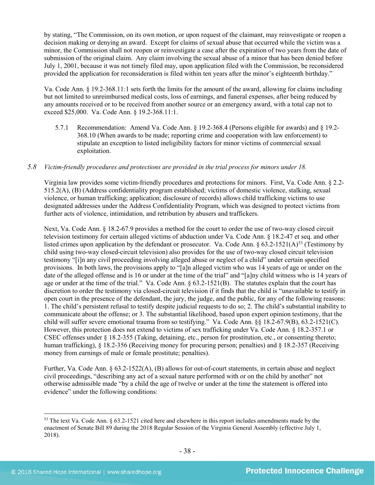by stating, "The Commission, on its own motion, or upon request of the claimant, may reinvestigate or reopen a decision making or denying an award. Except for claims of sexual abuse that occurred while the victim was a minor, the Commission shall not reopen or reinvestigate a case after the expiration of two years from the date of submission of the original claim. Any claim involving the sexual abuse of a minor that has been denied before July 1, 2001, because it was not timely filed may, upon application filed with the Commission, be reconsidered provided the application for reconsideration is filed within ten years after the minor's eighteenth birthday."

Va. Code Ann. § 19.2-368.11:1 sets forth the limits for the amount of the award, allowing for claims including but not limited to unreimbursed medical costs, loss of earnings, and funeral expenses, after being reduced by any amounts received or to be received from another source or an emergency award, with a total cap not to exceed \$25,000. Va. Code Ann. § 19.2-368.11:1.

5.7.1 Recommendation: Amend Va. Code Ann. § 19.2-368.4 (Persons eligible for awards) and § 19.2- 368.10 (When awards to be made; reporting crime and cooperation with law enforcement) to stipulate an exception to listed ineligibility factors for minor victims of commercial sexual exploitation.

# *5.8 Victim-friendly procedures and protections are provided in the trial process for minors under 18.*

Virginia law provides some victim-friendly procedures and protections for minors. First, Va. Code Ann. § 2.2- 515.2(A), (B) (Address confidentiality program established; victims of domestic violence, stalking, sexual violence, or human trafficking; application; disclosure of records) allows child trafficking victims to use designated addresses under the Address Confidentiality Program, which was designed to protect victims from further acts of violence, intimidation, and retribution by abusers and traffickers.

Next, Va. Code Ann. § 18.2-67.9 provides a method for the court to order the use of two-way closed circuit television testimony for certain alleged victims of abduction under Va. Code Ann. § 18.2-47 et seq. and other listed crimes upon application by the defendant or prosecutor. Va. Code Ann. § 63.2-1521(A)<sup>[53](#page-37-0)</sup> (Testimony by child using two-way closed-circuit television) also provides for the use of two-way closed circuit television testimony "[i]n any civil proceeding involving alleged abuse or neglect of a child" under certain specified provisions. In both laws, the provisions apply to "[a]n alleged victim who was 14 years of age or under on the date of the alleged offense and is 16 or under at the time of the trial" and "[a]ny child witness who is 14 years of age or under at the time of the trial." Va. Code Ann. § 63.2-1521(B). The statutes explain that the court has discretion to order the testimony via closed-circuit television if it finds that the child is "unavailable to testify in open court in the presence of the defendant, the jury, the judge, and the public, for any of the following reasons: 1. The child's persistent refusal to testify despite judicial requests to do so; 2. The child's substantial inability to communicate about the offense; or 3. The substantial likelihood, based upon expert opinion testimony, that the child will suffer severe emotional trauma from so testifying." Va. Code Ann. §§ 18.2-67.9(B), 63.2-1521(C). However, this protection does not extend to victims of sex trafficking under Va. Code Ann. § 18.2-357.1 or CSEC offenses under § 18.2-355 (Taking, detaining, etc., person for prostitution, etc., or consenting thereto; human trafficking), § 18.2-356 (Receiving money for procuring person; penalties) and § 18.2-357 (Receiving money from earnings of male or female prostitute; penalties).

Further, Va. Code Ann. § 63.2-1522(A), (B) allows for out-of-court statements, in certain abuse and neglect civil proceedings, "describing any act of a sexual nature performed with or on the child by another" not otherwise admissible made "by a child the age of twelve or under at the time the statement is offered into evidence" under the following conditions:

<span id="page-37-0"></span> <sup>53</sup> The text Va. Code Ann. § 63.2-1521 cited here and elsewhere in this report includes amendments made by the enactment of Senate Bill 89 during the 2018 Regular Session of the Virginia General Assembly (effective July 1, 2018).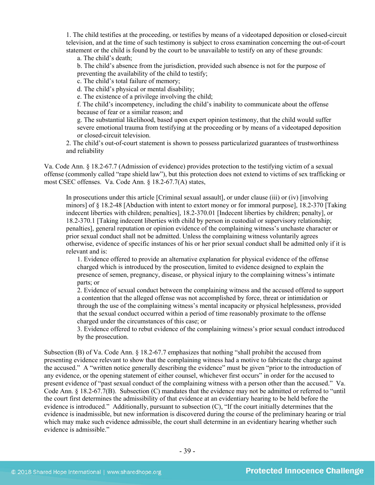1. The child testifies at the proceeding, or testifies by means of a videotaped deposition or closed-circuit television, and at the time of such testimony is subject to cross examination concerning the out-of-court statement or the child is found by the court to be unavailable to testify on any of these grounds:

a. The child's death;

b. The child's absence from the jurisdiction, provided such absence is not for the purpose of preventing the availability of the child to testify;

c. The child's total failure of memory;

d. The child's physical or mental disability;

e. The existence of a privilege involving the child;

f. The child's incompetency, including the child's inability to communicate about the offense because of fear or a similar reason; and

g. The substantial likelihood, based upon expert opinion testimony, that the child would suffer severe emotional trauma from testifying at the proceeding or by means of a videotaped deposition or closed-circuit television.

2. The child's out-of-court statement is shown to possess particularized guarantees of trustworthiness and reliability

Va. Code Ann. § 18.2-67.7 (Admission of evidence) provides protection to the testifying victim of a sexual offense (commonly called "rape shield law"), but this protection does not extend to victims of sex trafficking or most CSEC offenses. Va. Code Ann. § 18.2-67.7(A) states,

In prosecutions under this article [Criminal sexual assault], or under clause (iii) or (iv) [involving minors] of § 18.2-48 [Abduction with intent to extort money or for immoral purpose], 18.2-370 [Taking indecent liberties with children; penalties], 18.2-370.01 [Indecent liberties by children; penalty], or 18.2-370.1 [Taking indecent liberties with child by person in custodial or supervisory relationship; penalties], general reputation or opinion evidence of the complaining witness's unchaste character or prior sexual conduct shall not be admitted. Unless the complaining witness voluntarily agrees otherwise, evidence of specific instances of his or her prior sexual conduct shall be admitted only if it is relevant and is:

1. Evidence offered to provide an alternative explanation for physical evidence of the offense charged which is introduced by the prosecution, limited to evidence designed to explain the presence of semen, pregnancy, disease, or physical injury to the complaining witness's intimate parts; or

2. Evidence of sexual conduct between the complaining witness and the accused offered to support a contention that the alleged offense was not accomplished by force, threat or intimidation or through the use of the complaining witness's mental incapacity or physical helplessness, provided that the sexual conduct occurred within a period of time reasonably proximate to the offense charged under the circumstances of this case; or

3. Evidence offered to rebut evidence of the complaining witness's prior sexual conduct introduced by the prosecution.

Subsection (B) of Va. Code Ann. § 18.2-67.7 emphasizes that nothing "shall prohibit the accused from presenting evidence relevant to show that the complaining witness had a motive to fabricate the charge against the accused." A "written notice generally describing the evidence" must be given "prior to the introduction of any evidence, or the opening statement of either counsel, whichever first occurs" in order for the accused to present evidence of "past sexual conduct of the complaining witness with a person other than the accused." Va. Code Ann. § 18.2-67.7(B). Subsection (C) mandates that the evidence may not be admitted or referred to "until the court first determines the admissibility of that evidence at an evidentiary hearing to be held before the evidence is introduced." Additionally, pursuant to subsection (C), "If the court initially determines that the evidence is inadmissible, but new information is discovered during the course of the preliminary hearing or trial which may make such evidence admissible, the court shall determine in an evidentiary hearing whether such evidence is admissible."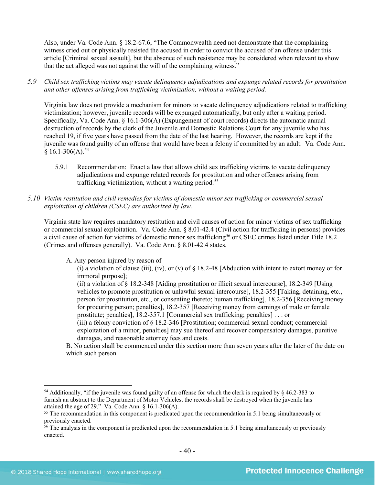Also, under Va. Code Ann. § 18.2-67.6, "The Commonwealth need not demonstrate that the complaining witness cried out or physically resisted the accused in order to convict the accused of an offense under this article [Criminal sexual assault], but the absence of such resistance may be considered when relevant to show that the act alleged was not against the will of the complaining witness."

*5.9 Child sex trafficking victims may vacate delinquency adjudications and expunge related records for prostitution and other offenses arising from trafficking victimization, without a waiting period.*

Virginia law does not provide a mechanism for minors to vacate delinquency adjudications related to trafficking victimization; however, juvenile records will be expunged automatically, but only after a waiting period. Specifically, Va. Code Ann. § 16.1-306(A) (Expungement of court records) directs the automatic annual destruction of records by the clerk of the Juvenile and Domestic Relations Court for any juvenile who has reached 19, if five years have passed from the date of the last hearing. However, the records are kept if the juvenile was found guilty of an offense that would have been a felony if committed by an adult. Va. Code Ann.  $§ 16.1-306(A).$ <sup>[54](#page-39-0)</sup>

- 5.9.1 Recommendation: Enact a law that allows child sex trafficking victims to vacate delinquency adjudications and expunge related records for prostitution and other offenses arising from trafficking victimization, without a waiting period.[55](#page-39-1)
- *5.10 Victim restitution and civil remedies for victims of domestic minor sex trafficking or commercial sexual exploitation of children (CSEC) are authorized by law.*

Virginia state law requires mandatory restitution and civil causes of action for minor victims of sex trafficking or commercial sexual exploitation. Va. Code Ann. § 8.01-42.4 (Civil action for trafficking in persons) provides a civil cause of action for victims of domestic minor sex trafficking<sup>[56](#page-39-2)</sup> or CSEC crimes listed under Title 18.2 (Crimes and offenses generally). Va. Code Ann. § 8.01-42.4 states,

A. Any person injured by reason of

(i) a violation of clause (iii), (iv), or (v) of  $\S$  18.2-48 [Abduction with intent to extort money or for immoral purpose];

(ii) a violation of § 18.2-348 [Aiding prostitution or illicit sexual intercourse], 18.2-349 [Using vehicles to promote prostitution or unlawful sexual intercourse], 18.2-355 [Taking, detaining, etc., person for prostitution, etc., or consenting thereto; human trafficking], 18.2-356 [Receiving money for procuring person; penalties], 18.2-357 [Receiving money from earnings of male or female prostitute; penalties], 18.2-357.1 [Commercial sex trafficking; penalties] . . . or

(iii) a felony conviction of § 18.2-346 [Prostitution; commercial sexual conduct; commercial exploitation of a minor; penalties] may sue thereof and recover compensatory damages, punitive damages, and reasonable attorney fees and costs.

B. No action shall be commenced under this section more than seven years after the later of the date on which such person

<span id="page-39-0"></span><sup>&</sup>lt;sup>54</sup> Additionally, "if the juvenile was found guilty of an offense for which the clerk is required by  $\S 46.2$ -383 to furnish an abstract to the Department of Motor Vehicles, the records shall be destroyed when the juvenile has attained the age of 29." Va. Code Ann.  $\S$  16.1-306(A).

<span id="page-39-1"></span><sup>&</sup>lt;sup>55</sup> The recommendation in this component is predicated upon the recommendation in 5.1 being simultaneously or previously enacted.

<span id="page-39-2"></span> $56$  The analysis in the component is predicated upon the recommendation in 5.1 being simultaneously or previously enacted.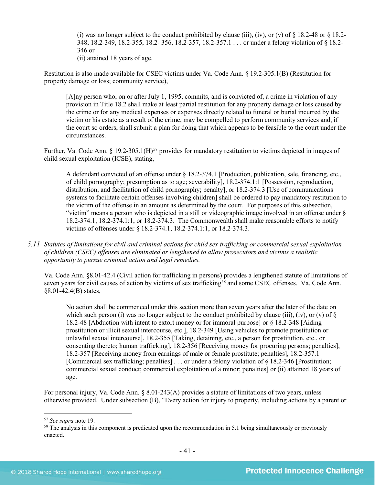(i) was no longer subject to the conduct prohibited by clause (iii), (iv), or (v) of  $\S$  18.2-48 or  $\S$  18.2-348, 18.2-349, 18.2-355, 18.2- 356, 18.2-357, 18.2-357.1 . . . or under a felony violation of § 18.2- 346 or

(ii) attained 18 years of age.

Restitution is also made available for CSEC victims under Va. Code Ann. § 19.2-305.1(B) (Restitution for property damage or loss; community service),

[A]ny person who, on or after July 1, 1995, commits, and is convicted of, a crime in violation of any provision in Title 18.2 shall make at least partial restitution for any property damage or loss caused by the crime or for any medical expenses or expenses directly related to funeral or burial incurred by the victim or his estate as a result of the crime, may be compelled to perform community services and, if the court so orders, shall submit a plan for doing that which appears to be feasible to the court under the circumstances.

Further, Va. Code Ann.  $\S 19.2-305.1(H)^{57}$  $\S 19.2-305.1(H)^{57}$  $\S 19.2-305.1(H)^{57}$  provides for mandatory restitution to victims depicted in images of child sexual exploitation (ICSE), stating,

A defendant convicted of an offense under § 18.2-374.1 [Production, publication, sale, financing, etc., of child pornography; presumption as to age; severability], 18.2-374.1:1 [Possession, reproduction, distribution, and facilitation of child pornography; penalty], or 18.2-374.3 [Use of communications systems to facilitate certain offenses involving children] shall be ordered to pay mandatory restitution to the victim of the offense in an amount as determined by the court. For purposes of this subsection, "victim" means a person who is depicted in a still or videographic image involved in an offense under § 18.2-374.1, 18.2-374.1:1, or 18.2-374.3. The Commonwealth shall make reasonable efforts to notify victims of offenses under § 18.2-374.1, 18.2-374.1:1, or 18.2-374.3.

*5.11 Statutes of limitations for civil and criminal actions for child sex trafficking or commercial sexual exploitation of children (CSEC) offenses are eliminated or lengthened to allow prosecutors and victims a realistic opportunity to pursue criminal action and legal remedies.*

Va. Code Ann. §8.01-42.4 (Civil action for trafficking in persons) provides a lengthened statute of limitations of seven years for civil causes of action by victims of sex trafficking<sup>[58](#page-40-1)</sup> and some CSEC offenses. Va. Code Ann. §8.01-42.4(B) states,

No action shall be commenced under this section more than seven years after the later of the date on which such person (i) was no longer subject to the conduct prohibited by clause (iii), (iv), or (v) of  $\S$ 18.2-48 [Abduction with intent to extort money or for immoral purpose] or § 18.2-348 [Aiding prostitution or illicit sexual intercourse, etc.], 18.2-349 [Using vehicles to promote prostitution or unlawful sexual intercourse], 18.2-355 [Taking, detaining, etc., a person for prostitution, etc., or consenting thereto; human trafficking], 18.2-356 [Receiving money for procuring persons; penalties], 18.2-357 [Receiving money from earnings of male or female prostitute; penalties], 18.2-357.1 [Commercial sex trafficking; penalties] . . . or under a felony violation of § 18.2-346 [Prostitution; commercial sexual conduct; commercial exploitation of a minor; penalties] or (ii) attained 18 years of age.

For personal injury, Va. Code Ann. § 8.01-243(A) provides a statute of limitations of two years, unless otherwise provided. Under subsection (B), "Every action for injury to property, including actions by a parent or

<span id="page-40-0"></span> <sup>57</sup> *See supra* note [19.](#page-12-2)

<span id="page-40-1"></span><sup>&</sup>lt;sup>58</sup> The analysis in this component is predicated upon the recommendation in 5.1 being simultaneously or previously enacted.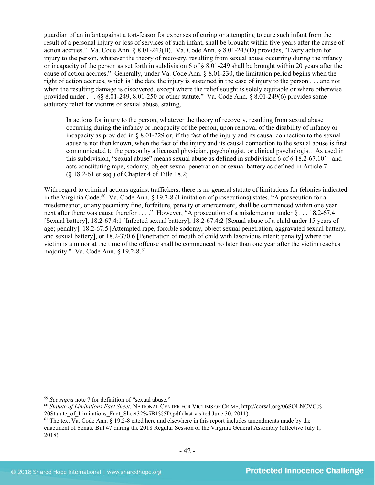guardian of an infant against a tort-feasor for expenses of curing or attempting to cure such infant from the result of a personal injury or loss of services of such infant, shall be brought within five years after the cause of action accrues." Va. Code Ann. § 8.01-243(B). Va. Code Ann. § 8.01-243(D) provides, "Every action for injury to the person, whatever the theory of recovery, resulting from sexual abuse occurring during the infancy or incapacity of the person as set forth in subdivision 6 of § 8.01-249 shall be brought within 20 years after the cause of action accrues." Generally, under Va. Code Ann. § 8.01-230, the limitation period begins when the right of action accrues, which is "the date the injury is sustained in the case of injury to the person . . . and not when the resulting damage is discovered, except where the relief sought is solely equitable or where otherwise provided under . . . §§ 8.01-249, 8.01-250 or other statute." Va. Code Ann. § 8.01-249(6) provides some statutory relief for victims of sexual abuse, stating,

In actions for injury to the person, whatever the theory of recovery, resulting from sexual abuse occurring during the infancy or incapacity of the person, upon removal of the disability of infancy or incapacity as provided in § 8.01-229 or, if the fact of the injury and its causal connection to the sexual abuse is not then known, when the fact of the injury and its causal connection to the sexual abuse is first communicated to the person by a licensed physician, psychologist, or clinical psychologist. As used in this subdivision, "sexual abuse" means sexual abuse as defined in subdivision 6 of  $\S$  18.2-67.10<sup>59</sup> and acts constituting rape, sodomy, object sexual penetration or sexual battery as defined in Article 7 (§ 18.2-61 et seq.) of Chapter 4 of Title 18.2;

With regard to criminal actions against traffickers, there is no general statute of limitations for felonies indicated in the Virginia Code.<sup>60</sup> Va. Code Ann. § 19.2-8 (Limitation of prosecutions) states, "A prosecution for a misdemeanor, or any pecuniary fine, forfeiture, penalty or amercement, shall be commenced within one year next after there was cause therefor . . . ." However, "A prosecution of a misdemeanor under § . . . 18.2-67.4 [Sexual battery], 18.2-67.4:1 [Infected sexual battery], 18.2-67.4:2 [Sexual abuse of a child under 15 years of age; penalty], 18.2-67.5 [Attempted rape, forcible sodomy, object sexual penetration, aggravated sexual battery, and sexual battery], or 18.2-370.6 [Penetration of mouth of child with lascivious intent; penalty] where the victim is a minor at the time of the offense shall be commenced no later than one year after the victim reaches majority." Va. Code Ann. § 19.2-8.<sup>[61](#page-41-2)</sup>

<span id="page-41-0"></span> <sup>59</sup> *See supra* note [7](#page-4-3) for definition of "sexual abuse."

<span id="page-41-1"></span><sup>60</sup> *Statute of Limitations Fact Sheet*, NATIONAL CENTER FOR VICTIMS OF CRIME, http://corsal.org/06SOLNCVC% 20Statute\_of\_Limitations\_Fact\_Sheet32%5B1%5D.pdf (last visited June 30, 2011).<br><sup>61</sup> The text Va. Code Ann. § 19.2-8 cited here and elsewhere in this report includes amendments made by the

<span id="page-41-2"></span>enactment of Senate Bill 47 during the 2018 Regular Session of the Virginia General Assembly (effective July 1, 2018).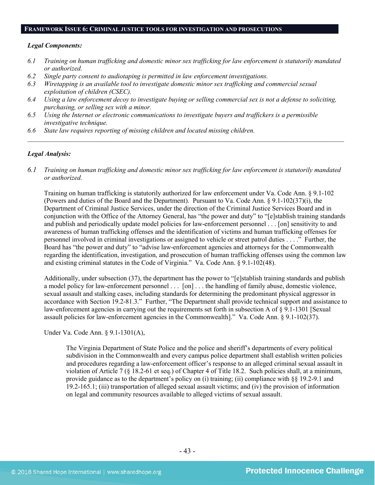#### **FRAMEWORK ISSUE 6: CRIMINAL JUSTICE TOOLS FOR INVESTIGATION AND PROSECUTIONS**

#### *Legal Components:*

- *6.1 Training on human trafficking and domestic minor sex trafficking for law enforcement is statutorily mandated or authorized.*
- *6.2 Single party consent to audiotaping is permitted in law enforcement investigations.*
- *6.3 Wiretapping is an available tool to investigate domestic minor sex trafficking and commercial sexual exploitation of children (CSEC).*
- *6.4 Using a law enforcement decoy to investigate buying or selling commercial sex is not a defense to soliciting, purchasing, or selling sex with a minor.*
- *6.5 Using the Internet or electronic communications to investigate buyers and traffickers is a permissible investigative technique.*
- *6.6 State law requires reporting of missing children and located missing children.*

#### *Legal Analysis:*

*6.1 Training on human trafficking and domestic minor sex trafficking for law enforcement is statutorily mandated or authorized.*

*\_\_\_\_\_\_\_\_\_\_\_\_\_\_\_\_\_\_\_\_\_\_\_\_\_\_\_\_\_\_\_\_\_\_\_\_\_\_\_\_\_\_\_\_\_\_\_\_\_\_\_\_\_\_\_\_\_\_\_\_\_\_\_\_\_\_\_\_\_\_\_\_\_\_\_\_\_\_\_\_\_\_\_\_\_\_\_\_\_\_\_\_\_\_*

Training on human trafficking is statutorily authorized for law enforcement under Va. Code Ann. § 9.1-102 (Powers and duties of the Board and the Department). Pursuant to Va. Code Ann. § 9.1-102(37)(i), the Department of Criminal Justice Services, under the direction of the Criminal Justice Services Board and in conjunction with the Office of the Attorney General, has "the power and duty" to "[e]stablish training standards and publish and periodically update model policies for law-enforcement personnel . . . [on] sensitivity to and awareness of human trafficking offenses and the identification of victims and human trafficking offenses for personnel involved in criminal investigations or assigned to vehicle or street patrol duties . . . ." Further, the Board has "the power and duty" to "advise law-enforcement agencies and attorneys for the Commonwealth regarding the identification, investigation, and prosecution of human trafficking offenses using the common law and existing criminal statutes in the Code of Virginia." Va. Code Ann. § 9.1-102(48).

Additionally, under subsection (37), the department has the power to "[e]stablish training standards and publish a model policy for law-enforcement personnel . . . [on] . . . the handling of family abuse, domestic violence, sexual assault and stalking cases, including standards for determining the predominant physical aggressor in accordance with Section 19.2-81.3." Further, "The Department shall provide technical support and assistance to law-enforcement agencies in carrying out the requirements set forth in subsection A of § 9.1-1301 [Sexual assault policies for law-enforcement agencies in the Commonwealth]." Va. Code Ann. § 9.1-102(37).

Under Va. Code Ann. § 9.1-1301(A),

The Virginia Department of State Police and the police and sheriff's departments of every political subdivision in the Commonwealth and every campus police department shall establish written policies and procedures regarding a law-enforcement officer's response to an alleged criminal sexual assault in violation of Article 7 (§ 18.2-61 et seq.) of Chapter 4 of Title 18.2. Such policies shall, at a minimum, provide guidance as to the department's policy on (i) training; (ii) compliance with §§ 19.2-9.1 and 19.2-165.1; (iii) transportation of alleged sexual assault victims; and (iv) the provision of information on legal and community resources available to alleged victims of sexual assault.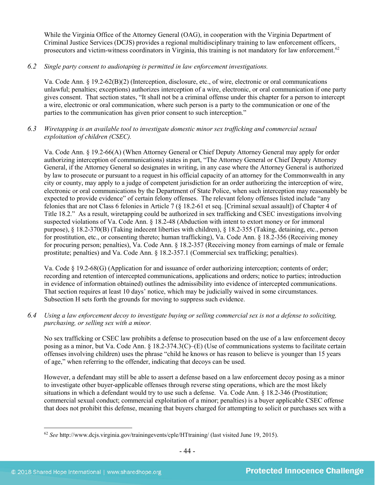While the Virginia Office of the Attorney General (OAG), in cooperation with the Virginia Department of Criminal Justice Services (DCJS) provides a regional multidisciplinary training to law enforcement officers, prosecutors and victim-witness coordinators in Virginia, this training is not mandatory for law enforcement.[62](#page-43-0)

*6.2 Single party consent to audiotaping is permitted in law enforcement investigations.*

Va. Code Ann. § 19.2-62(B)(2) (Interception, disclosure, etc., of wire, electronic or oral communications unlawful; penalties; exceptions) authorizes interception of a wire, electronic, or oral communication if one party gives consent. That section states, "It shall not be a criminal offense under this chapter for a person to intercept a wire, electronic or oral communication, where such person is a party to the communication or one of the parties to the communication has given prior consent to such interception."

*6.3 Wiretapping is an available tool to investigate domestic minor sex trafficking and commercial sexual exploitation of children (CSEC).* 

Va. Code Ann. § 19.2-66(A) (When Attorney General or Chief Deputy Attorney General may apply for order authorizing interception of communications) states in part, "The Attorney General or Chief Deputy Attorney General, if the Attorney General so designates in writing, in any case where the Attorney General is authorized by law to prosecute or pursuant to a request in his official capacity of an attorney for the Commonwealth in any city or county, may apply to a judge of competent jurisdiction for an order authorizing the interception of wire, electronic or oral communications by the Department of State Police, when such interception may reasonably be expected to provide evidence" of certain felony offenses. The relevant felony offenses listed include "any felonies that are not Class 6 felonies in Article 7 (§ 18.2-61 et seq. [Criminal sexual assault]) of Chapter 4 of Title 18.2." As a result, wiretapping could be authorized in sex trafficking and CSEC investigations involving suspected violations of Va. Code Ann. § 18.2-48 (Abduction with intent to extort money or for immoral purpose), § 18.2-370(B) (Taking indecent liberties with children), § 18.2-355 (Taking, detaining, etc., person for prostitution, etc., or consenting thereto; human trafficking), Va. Code Ann. § 18.2-356 (Receiving money for procuring person; penalties), Va. Code Ann. § 18.2-357 (Receiving money from earnings of male or female prostitute; penalties) and Va. Code Ann. § 18.2-357.1 (Commercial sex trafficking; penalties).

Va. Code § 19.2-68(G) (Application for and issuance of order authorizing interception; contents of order; recording and retention of intercepted communications, applications and orders; notice to parties; introduction in evidence of information obtained) outlines the admissibility into evidence of intercepted communications. That section requires at least 10 days' notice, which may be judicially waived in some circumstances. Subsection H sets forth the grounds for moving to suppress such evidence.

*6.4 Using a law enforcement decoy to investigate buying or selling commercial sex is not a defense to soliciting, purchasing, or selling sex with a minor.*

No sex trafficking or CSEC law prohibits a defense to prosecution based on the use of a law enforcement decoy posing as a minor, but Va. Code Ann. § 18.2-374.3(C)–(E) (Use of communications systems to facilitate certain offenses involving children) uses the phrase "child he knows or has reason to believe is younger than 15 years of age," when referring to the offender, indicating that decoys can be used.

However, a defendant may still be able to assert a defense based on a law enforcement decoy posing as a minor to investigate other buyer-applicable offenses through reverse sting operations, which are the most likely situations in which a defendant would try to use such a defense. Va. Code Ann. § 18.2-346 (Prostitution; commercial sexual conduct; commercial exploitation of a minor; penalties) is a buyer applicable CSEC offense that does not prohibit this defense, meaning that buyers charged for attempting to solicit or purchases sex with a

<span id="page-43-0"></span> <sup>62</sup> *See* http://www.dcjs.virginia.gov/trainingevents/cple/HTtraining/ (last visited June 19, 2015).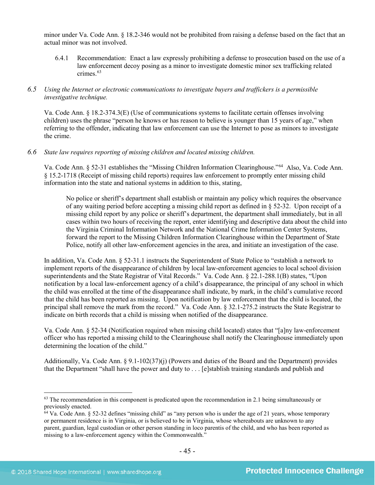minor under Va. Code Ann. § 18.2-346 would not be prohibited from raising a defense based on the fact that an actual minor was not involved.

6.4.1 Recommendation: Enact a law expressly prohibiting a defense to prosecution based on the use of a law enforcement decoy posing as a minor to investigate domestic minor sex trafficking related crimes $63$ 

# *6.5 Using the Internet or electronic communications to investigate buyers and traffickers is a permissible investigative technique.*

Va. Code Ann. § 18.2-374.3(E) (Use of communications systems to facilitate certain offenses involving children) uses the phrase "person he knows or has reason to believe is younger than 15 years of age," when referring to the offender, indicating that law enforcement can use the Internet to pose as minors to investigate the crime.

# *6.6 State law requires reporting of missing children and located missing children.*

Va. Code Ann. § 52-31 establishes the "Missing Children Information Clearinghouse."[64](#page-44-1) Also, Va. Code Ann. § 15.2-1718 (Receipt of missing child reports) requires law enforcement to promptly enter missing child information into the state and national systems in addition to this, stating,

No police or sheriff's department shall establish or maintain any policy which requires the observance of any waiting period before accepting a missing child report as defined in § 52-32. Upon receipt of a missing child report by any police or sheriff's department, the department shall immediately, but in all cases within two hours of receiving the report, enter identifying and descriptive data about the child into the Virginia Criminal Information Network and the National Crime Information Center Systems, forward the report to the Missing Children Information Clearinghouse within the Department of State Police, notify all other law-enforcement agencies in the area, and initiate an investigation of the case.

In addition, Va. Code Ann. § 52-31.1 instructs the Superintendent of State Police to "establish a network to implement reports of the disappearance of children by local law-enforcement agencies to local school division superintendents and the State Registrar of Vital Records." Va. Code Ann. § 22.1-288.1(B) states, "Upon notification by a local law-enforcement agency of a child's disappearance, the principal of any school in which the child was enrolled at the time of the disappearance shall indicate, by mark, in the child's cumulative record that the child has been reported as missing. Upon notification by law enforcement that the child is located, the principal shall remove the mark from the record." Va. Code Ann. § 32.1-275.2 instructs the State Registrar to indicate on birth records that a child is missing when notified of the disappearance.

Va. Code Ann. § 52-34 (Notification required when missing child located) states that "[a]ny law-enforcement officer who has reported a missing child to the Clearinghouse shall notify the Clearinghouse immediately upon determining the location of the child."

Additionally, Va. Code Ann. § 9.1-102(37)(j) (Powers and duties of the Board and the Department) provides that the Department "shall have the power and duty to . . . [e]stablish training standards and publish and

<span id="page-44-0"></span> $63$  The recommendation in this component is predicated upon the recommendation in 2.1 being simultaneously or previously enacted.

<span id="page-44-1"></span> $64$  Va. Code Ann. § 52-32 defines "missing child" as "any person who is under the age of 21 years, whose temporary or permanent residence is in Virginia, or is believed to be in Virginia, whose whereabouts are unknown to any parent, guardian, legal custodian or other person standing in loco parentis of the child, and who has been reported as missing to a law-enforcement agency within the Commonwealth."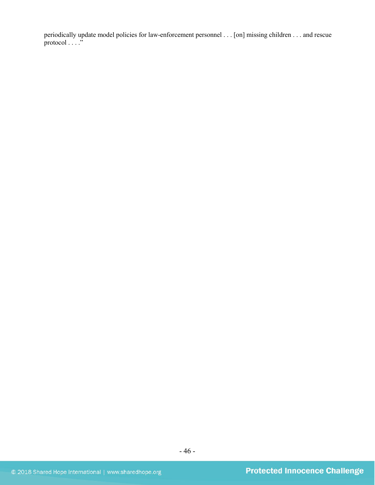periodically update model policies for law-enforcement personnel . . . [on] missing children . . . and rescue protocol . . . ."